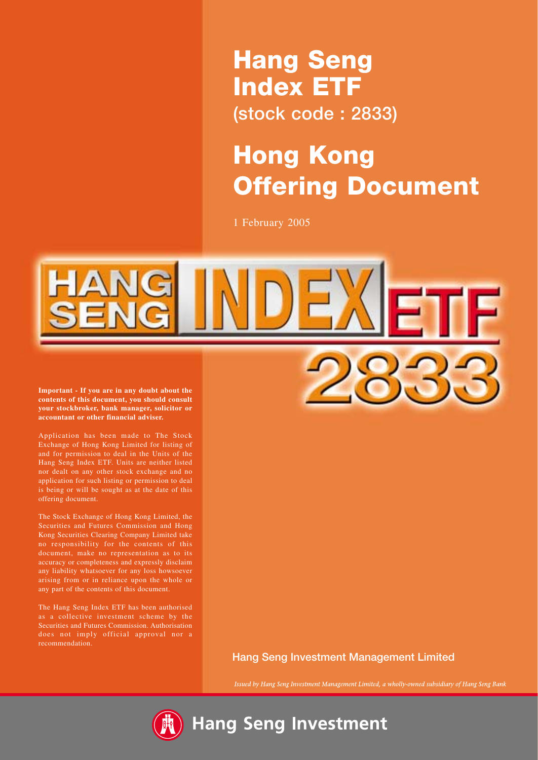# **Hang Seng Index ETF (stock code : 2833)**

# **Hong Kong Offering Document**

1 February 2005



**contents of this document, you should consult your stockbroker, bank manager, solicitor or accountant or other financial adviser.**

Application has been made to The Stock Exchange of Hong Kong Limited for listing of and for permission to deal in the Units of the Hang Seng Index ETF. Units are neither listed nor dealt on any other stock exchange and no application for such listing or permission to deal is being or will be sought as at the date of this offering document.

The Stock Exchange of Hong Kong Limited, the Securities and Futures Commission and Hong Kong Securities Clearing Company Limited take no responsibility for the contents of this document, make no representation as to its accuracy or completeness and expressly disclaim any liability whatsoever for any loss howsoever arising from or in reliance upon the whole or any part of the contents of this document.

The Hang Seng Index ETF has been authorised Securities and Futures Commission. Authorisation does not imply official approval nor a recommendation.

**Hang Seng Investment Management Limited**

Issued by Hang Seng Investment Management Limited, a wholly-owned subsidiary of Hang Seng Bank

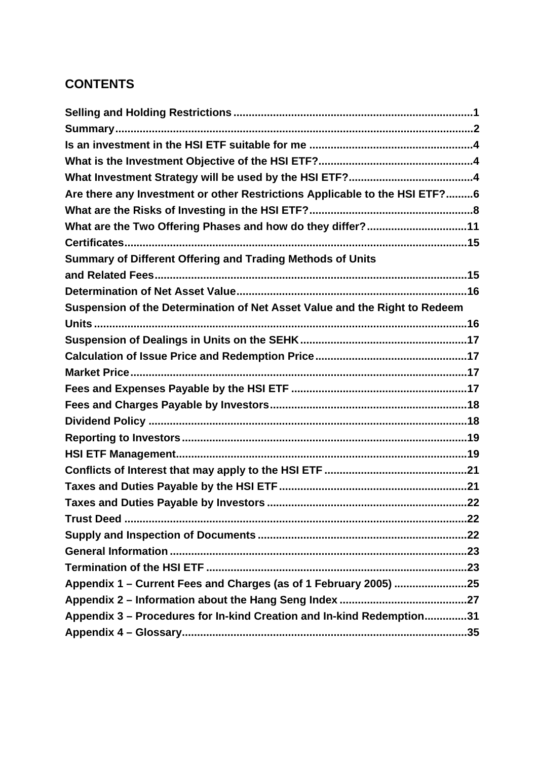# **CONTENTS**

| Are there any Investment or other Restrictions Applicable to the HSI ETF?6 |  |
|----------------------------------------------------------------------------|--|
|                                                                            |  |
| What are the Two Offering Phases and how do they differ?11                 |  |
|                                                                            |  |
| Summary of Different Offering and Trading Methods of Units                 |  |
|                                                                            |  |
|                                                                            |  |
| Suspension of the Determination of Net Asset Value and the Right to Redeem |  |
|                                                                            |  |
|                                                                            |  |
|                                                                            |  |
|                                                                            |  |
|                                                                            |  |
|                                                                            |  |
|                                                                            |  |
|                                                                            |  |
|                                                                            |  |
|                                                                            |  |
|                                                                            |  |
|                                                                            |  |
|                                                                            |  |
|                                                                            |  |
|                                                                            |  |
|                                                                            |  |
| Appendix 1 – Current Fees and Charges (as of 1 February 2005) 25           |  |
|                                                                            |  |
| Appendix 3 - Procedures for In-kind Creation and In-kind Redemption31      |  |
|                                                                            |  |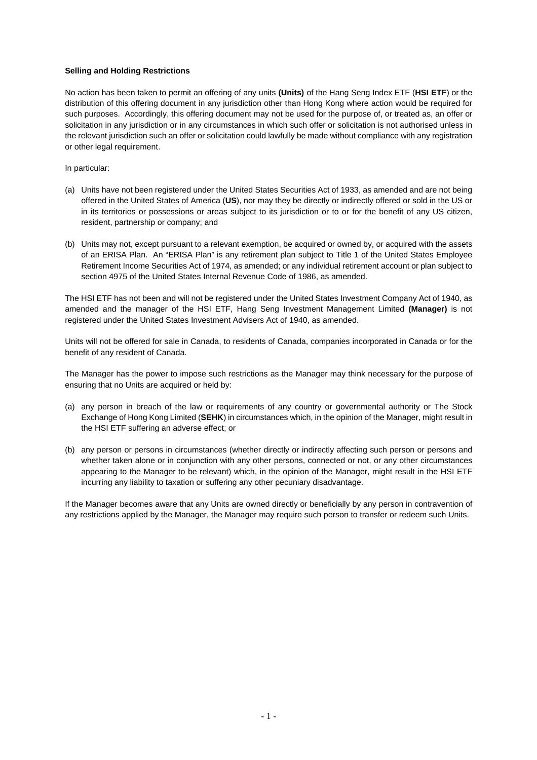#### **Selling and Holding Restrictions**

No action has been taken to permit an offering of any units **(Units)** of the Hang Seng Index ETF (**HSI ETF**) or the distribution of this offering document in any jurisdiction other than Hong Kong where action would be required for such purposes. Accordingly, this offering document may not be used for the purpose of, or treated as, an offer or solicitation in any jurisdiction or in any circumstances in which such offer or solicitation is not authorised unless in the relevant jurisdiction such an offer or solicitation could lawfully be made without compliance with any registration or other legal requirement.

In particular:

- (a) Units have not been registered under the United States Securities Act of 1933, as amended and are not being offered in the United States of America (**US**), nor may they be directly or indirectly offered or sold in the US or in its territories or possessions or areas subject to its jurisdiction or to or for the benefit of any US citizen, resident, partnership or company; and
- (b) Units may not, except pursuant to a relevant exemption, be acquired or owned by, or acquired with the assets of an ERISA Plan. An "ERISA Plan" is any retirement plan subject to Title 1 of the United States Employee Retirement Income Securities Act of 1974, as amended; or any individual retirement account or plan subject to section 4975 of the United States Internal Revenue Code of 1986, as amended.

The HSI ETF has not been and will not be registered under the United States Investment Company Act of 1940, as amended and the manager of the HSI ETF, Hang Seng Investment Management Limited **(Manager)** is not registered under the United States Investment Advisers Act of 1940, as amended.

Units will not be offered for sale in Canada, to residents of Canada, companies incorporated in Canada or for the benefit of any resident of Canada.

The Manager has the power to impose such restrictions as the Manager may think necessary for the purpose of ensuring that no Units are acquired or held by:

- (a) any person in breach of the law or requirements of any country or governmental authority or The Stock Exchange of Hong Kong Limited (**SEHK**) in circumstances which, in the opinion of the Manager, might result in the HSI ETF suffering an adverse effect; or
- (b) any person or persons in circumstances (whether directly or indirectly affecting such person or persons and whether taken alone or in conjunction with any other persons, connected or not, or any other circumstances appearing to the Manager to be relevant) which, in the opinion of the Manager, might result in the HSI ETF incurring any liability to taxation or suffering any other pecuniary disadvantage.

If the Manager becomes aware that any Units are owned directly or beneficially by any person in contravention of any restrictions applied by the Manager, the Manager may require such person to transfer or redeem such Units.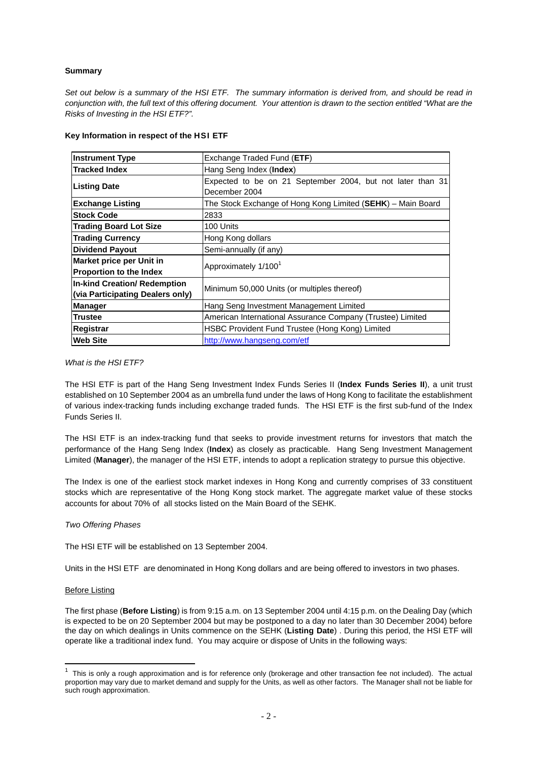# **Summary**

*Set out below is a summary of the HSI ETF. The summary information is derived from, and should be read in conjunction with, the full text of this offering document. Your attention is drawn to the section entitled "What are the Risks of Investing in the HSI ETF?".*

| <b>Instrument Type</b>                                           | Exchange Traded Fund (ETF)                                                  |  |  |
|------------------------------------------------------------------|-----------------------------------------------------------------------------|--|--|
| <b>Tracked Index</b>                                             | Hang Seng Index (Index)                                                     |  |  |
| <b>Listing Date</b>                                              | Expected to be on 21 September 2004, but not later than 31<br>December 2004 |  |  |
| <b>Exchange Listing</b>                                          | The Stock Exchange of Hong Kong Limited (SEHK) – Main Board                 |  |  |
| <b>Stock Code</b>                                                | 2833                                                                        |  |  |
| <b>Trading Board Lot Size</b>                                    | 100 Units                                                                   |  |  |
| <b>Trading Currency</b>                                          | Hong Kong dollars                                                           |  |  |
| <b>Dividend Payout</b>                                           | Semi-annually (if any)                                                      |  |  |
| Market price per Unit in<br><b>Proportion to the Index</b>       | Approximately 1/100 <sup>1</sup>                                            |  |  |
| In-kind Creation/ Redemption<br>(via Participating Dealers only) | Minimum 50,000 Units (or multiples thereof)                                 |  |  |
| <b>Manager</b>                                                   | Hang Seng Investment Management Limited                                     |  |  |
| <b>Trustee</b>                                                   | American International Assurance Company (Trustee) Limited                  |  |  |
| Registrar                                                        | HSBC Provident Fund Trustee (Hong Kong) Limited                             |  |  |
| <b>Web Site</b>                                                  | http://www.hangseng.com/etf                                                 |  |  |

#### **Key Information in respect of the HSI ETF**

#### *What is the HSI ETF?*

The HSI ETF is part of the Hang Seng Investment Index Funds Series II (**Index Funds Series II**), a unit trust established on 10 September 2004 as an umbrella fund under the laws of Hong Kong to facilitate the establishment of various index-tracking funds including exchange traded funds. The HSI ETF is the first sub-fund of the Index Funds Series II.

The HSI ETF is an index-tracking fund that seeks to provide investment returns for investors that match the performance of the Hang Seng Index (**Index**) as closely as practicable. Hang Seng Investment Management Limited (**Manager**), the manager of the HSI ETF, intends to adopt a replication strategy to pursue this objective.

The Index is one of the earliest stock market indexes in Hong Kong and currently comprises of 33 constituent stocks which are representative of the Hong Kong stock market. The aggregate market value of these stocks accounts for about 70% of all stocks listed on the Main Board of the SEHK.

# *Two Offering Phases*

The HSI ETF will be established on 13 September 2004.

Units in the HSI ETF are denominated in Hong Kong dollars and are being offered to investors in two phases.

#### Before Listing

The first phase (**Before Listing**) is from 9:15 a.m. on 13 September 2004 until 4:15 p.m. on the Dealing Day (which is expected to be on 20 September 2004 but may be postponed to a day no later than 30 December 2004) before the day on which dealings in Units commence on the SEHK (**Listing Date**) . During this period, the HSI ETF will operate like a traditional index fund. You may acquire or dispose of Units in the following ways:

**This is only a rough approximation and is for reference only (brokerage and other transaction fee not included). The actual<br><sup>1</sup> This is only a rough approximation and is for reference only (brokerage and other transaction** proportion may vary due to market demand and supply for the Units, as well as other factors. The Manager shall not be liable for such rough approximation.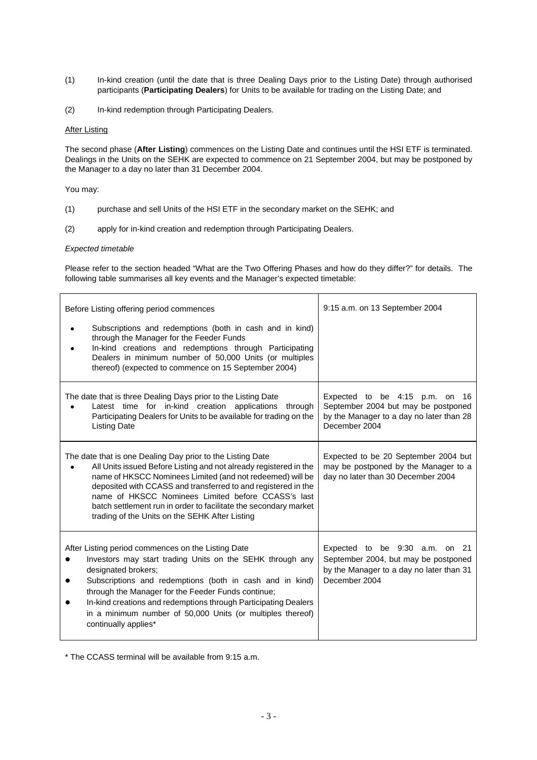- (1) In-kind creation (until the date that is three Dealing Days prior to the Listing Date) through authorised participants (**Participating Dealers**) for Units to be available for trading on the Listing Date; and
- (2) In-kind redemption through Participating Dealers.

#### After Listing

The second phase (**After Listing**) commences on the Listing Date and continues until the HSI ETF is terminated. Dealings in the Units on the SEHK are expected to commence on 21 September 2004, but may be postponed by the Manager to a day no later than 31 December 2004.

You may:

- (1) purchase and sell Units of the HSI ETF in the secondary market on the SEHK; and
- (2) apply for in-kind creation and redemption through Participating Dealers.

#### *Expected timetable*

Please refer to the section headed "What are the Two Offering Phases and how do they differ?" for details. The following table summarises all key events and the Manager's expected timetable:

| Before Listing offering period commences                                                                                                                                                                                                                                                                                                                                                                                                  | 9:15 a.m. on 13 September 2004                                                                                                          |
|-------------------------------------------------------------------------------------------------------------------------------------------------------------------------------------------------------------------------------------------------------------------------------------------------------------------------------------------------------------------------------------------------------------------------------------------|-----------------------------------------------------------------------------------------------------------------------------------------|
| Subscriptions and redemptions (both in cash and in kind)<br>through the Manager for the Feeder Funds<br>In-kind creations and redemptions through Participating<br>Dealers in minimum number of 50,000 Units (or multiples<br>thereof) (expected to commence on 15 September 2004)                                                                                                                                                        |                                                                                                                                         |
| The date that is three Dealing Days prior to the Listing Date<br>Latest time for in-kind creation applications through<br>Participating Dealers for Units to be available for trading on the<br><b>Listing Date</b>                                                                                                                                                                                                                       | Expected to be 4:15 p.m. on<br>- 16<br>September 2004 but may be postponed<br>by the Manager to a day no later than 28<br>December 2004 |
| The date that is one Dealing Day prior to the Listing Date<br>All Units issued Before Listing and not already registered in the<br>name of HKSCC Nominees Limited (and not redeemed) will be<br>deposited with CCASS and transferred to and registered in the<br>name of HKSCC Nominees Limited before CCASS's last<br>batch settlement run in order to facilitate the secondary market<br>trading of the Units on the SEHK After Listing | Expected to be 20 September 2004 but<br>may be postponed by the Manager to a<br>day no later than 30 December 2004                      |
| After Listing period commences on the Listing Date<br>Investors may start trading Units on the SEHK through any<br>designated brokers;<br>Subscriptions and redemptions (both in cash and in kind)<br>through the Manager for the Feeder Funds continue;<br>In-kind creations and redemptions through Participating Dealers<br>in a minimum number of 50,000 Units (or multiples thereof)<br>continually applies*                         | Expected to be 9:30 a.m. on 21<br>September 2004, but may be postponed<br>by the Manager to a day no later than 31<br>December 2004     |

\* The CCASS terminal will be available from 9:15 a.m.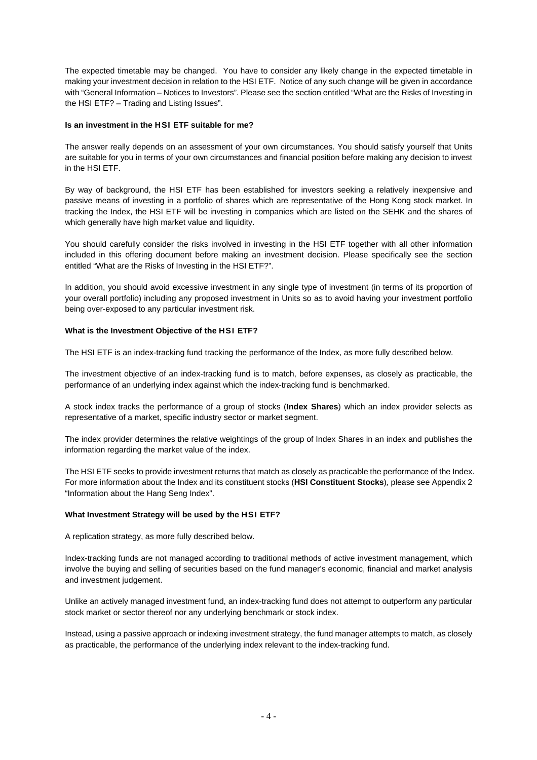The expected timetable may be changed. You have to consider any likely change in the expected timetable in making your investment decision in relation to the HSI ETF. Notice of any such change will be given in accordance with "General Information – Notices to Investors". Please see the section entitled "What are the Risks of Investing in the HSI ETF? – Trading and Listing Issues".

#### **Is an investment in the HSI ETF suitable for me?**

The answer really depends on an assessment of your own circumstances. You should satisfy yourself that Units are suitable for you in terms of your own circumstances and financial position before making any decision to invest in the HSI ETF.

By way of background, the HSI ETF has been established for investors seeking a relatively inexpensive and passive means of investing in a portfolio of shares which are representative of the Hong Kong stock market. In tracking the Index, the HSI ETF will be investing in companies which are listed on the SEHK and the shares of which generally have high market value and liquidity.

You should carefully consider the risks involved in investing in the HSI ETF together with all other information included in this offering document before making an investment decision. Please specifically see the section entitled "What are the Risks of Investing in the HSI ETF?".

In addition, you should avoid excessive investment in any single type of investment (in terms of its proportion of your overall portfolio) including any proposed investment in Units so as to avoid having your investment portfolio being over-exposed to any particular investment risk.

#### **What is the Investment Objective of the HSI ETF?**

The HSI ETF is an index-tracking fund tracking the performance of the Index, as more fully described below.

The investment objective of an index-tracking fund is to match, before expenses, as closely as practicable, the performance of an underlying index against which the index-tracking fund is benchmarked.

A stock index tracks the performance of a group of stocks (**Index Shares**) which an index provider selects as representative of a market, specific industry sector or market segment.

The index provider determines the relative weightings of the group of Index Shares in an index and publishes the information regarding the market value of the index.

The HSI ETF seeks to provide investment returns that match as closely as practicable the performance of the Index. For more information about the Index and its constituent stocks (**HSI Constituent Stocks**)*,* please see Appendix 2 "Information about the Hang Seng Index".

#### **What Investment Strategy will be used by the HSI ETF?**

A replication strategy, as more fully described below.

Index-tracking funds are not managed according to traditional methods of active investment management, which involve the buying and selling of securities based on the fund manager's economic, financial and market analysis and investment judgement.

Unlike an actively managed investment fund, an index-tracking fund does not attempt to outperform any particular stock market or sector thereof nor any underlying benchmark or stock index.

Instead, using a passive approach or indexing investment strategy, the fund manager attempts to match, as closely as practicable, the performance of the underlying index relevant to the index-tracking fund.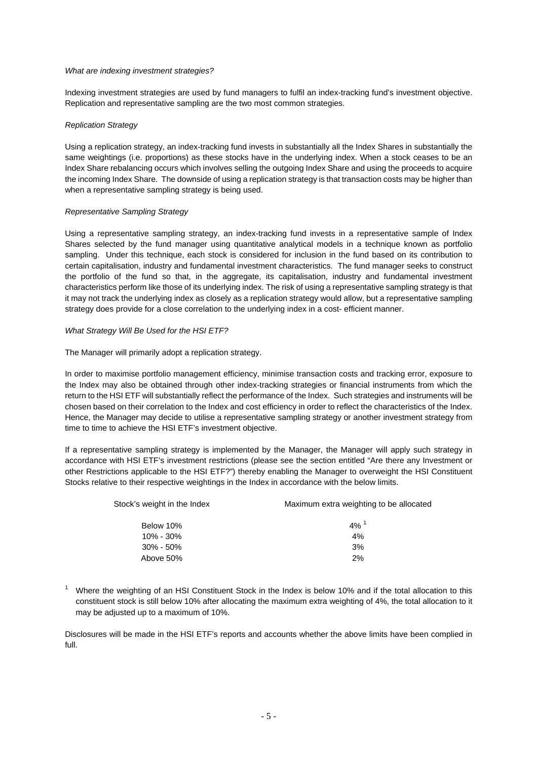#### *What are indexing investment strategies?*

Indexing investment strategies are used by fund managers to fulfil an index-tracking fund's investment objective. Replication and representative sampling are the two most common strategies.

### *Replication Strategy*

Using a replication strategy, an index-tracking fund invests in substantially all the Index Shares in substantially the same weightings (i.e. proportions) as these stocks have in the underlying index. When a stock ceases to be an Index Share rebalancing occurs which involves selling the outgoing Index Share and using the proceeds to acquire the incoming Index Share. The downside of using a replication strategy is that transaction costs may be higher than when a representative sampling strategy is being used.

#### *Representative Sampling Strategy*

Using a representative sampling strategy, an index-tracking fund invests in a representative sample of Index Shares selected by the fund manager using quantitative analytical models in a technique known as portfolio sampling. Under this technique, each stock is considered for inclusion in the fund based on its contribution to certain capitalisation, industry and fundamental investment characteristics. The fund manager seeks to construct the portfolio of the fund so that, in the aggregate, its capitalisation, industry and fundamental investment characteristics perform like those of its underlying index. The risk of using a representative sampling strategy is that it may not track the underlying index as closely as a replication strategy would allow, but a representative sampling strategy does provide for a close correlation to the underlying index in a cost- efficient manner.

#### *What Strategy Will Be Used for the HSI ETF?*

The Manager will primarily adopt a replication strategy.

In order to maximise portfolio management efficiency, minimise transaction costs and tracking error, exposure to the Index may also be obtained through other index-tracking strategies or financial instruments from which the return to the HSI ETF will substantially reflect the performance of the Index. Such strategies and instruments will be chosen based on their correlation to the Index and cost efficiency in order to reflect the characteristics of the Index. Hence, the Manager may decide to utilise a representative sampling strategy or another investment strategy from time to time to achieve the HSI ETF's investment objective.

If a representative sampling strategy is implemented by the Manager, the Manager will apply such strategy in accordance with HSI ETF's investment restrictions (please see the section entitled "Are there any Investment or other Restrictions applicable to the HSI ETF?") thereby enabling the Manager to overweight the HSI Constituent Stocks relative to their respective weightings in the Index in accordance with the below limits.

| Stock's weight in the Index | Maximum extra weighting to be allocated |
|-----------------------------|-----------------------------------------|
| Below 10%                   | $4\%$ <sup>1</sup>                      |
| $10\% - 30\%$               | 4%                                      |
| $30\% - 50\%$               | 3%                                      |
| Above 50%                   | 2%                                      |

<sup>1</sup> Where the weighting of an HSI Constituent Stock in the Index is below 10% and if the total allocation to this constituent stock is still below 10% after allocating the maximum extra weighting of 4%, the total allocation to it may be adjusted up to a maximum of 10%.

Disclosures will be made in the HSI ETF's reports and accounts whether the above limits have been complied in full.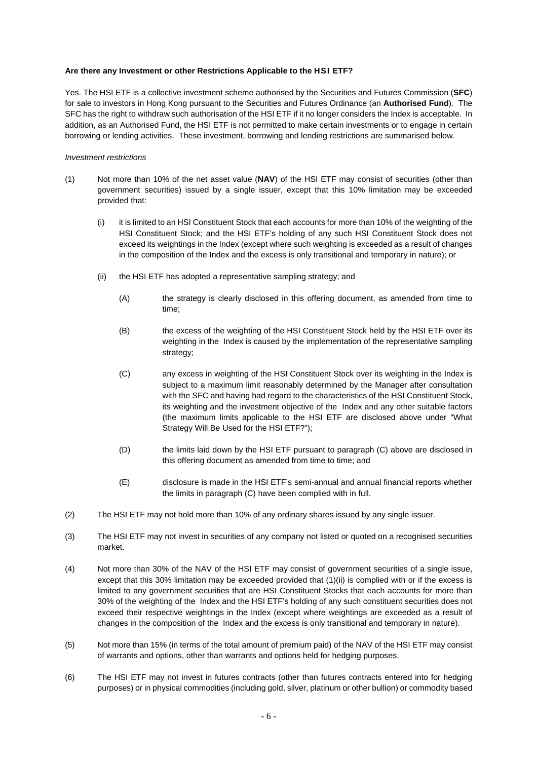#### **Are there any Investment or other Restrictions Applicable to the HSI ETF?**

Yes. The HSI ETF is a collective investment scheme authorised by the Securities and Futures Commission (**SFC**) for sale to investors in Hong Kong pursuant to the Securities and Futures Ordinance (an **Authorised Fund**). The SFC has the right to withdraw such authorisation of the HSI ETF if it no longer considers the Index is acceptable. In addition, as an Authorised Fund, the HSI ETF is not permitted to make certain investments or to engage in certain borrowing or lending activities. These investment, borrowing and lending restrictions are summarised below.

#### *Investment restrictions*

- (1) Not more than 10% of the net asset value (**NAV**) of the HSI ETF may consist of securities (other than government securities) issued by a single issuer, except that this 10% limitation may be exceeded provided that:
	- (i) it is limited to an HSI Constituent Stock that each accounts for more than 10% of the weighting of the HSI Constituent Stock; and the HSI ETF's holding of any such HSI Constituent Stock does not exceed its weightings in the Index (except where such weighting is exceeded as a result of changes in the composition of the Index and the excess is only transitional and temporary in nature); or
	- (ii) the HSI ETF has adopted a representative sampling strategy; and
		- (A) the strategy is clearly disclosed in this offering document, as amended from time to time;
		- (B) the excess of the weighting of the HSI Constituent Stock held by the HSI ETF over its weighting in the Index is caused by the implementation of the representative sampling strategy;
		- (C) any excess in weighting of the HSI Constituent Stock over its weighting in the Index is subject to a maximum limit reasonably determined by the Manager after consultation with the SFC and having had regard to the characteristics of the HSI Constituent Stock, its weighting and the investment objective of the Index and any other suitable factors (the maximum limits applicable to the HSI ETF are disclosed above under "What Strategy Will Be Used for the HSI ETF?");
		- (D) the limits laid down by the HSI ETF pursuant to paragraph (C) above are disclosed in this offering document as amended from time to time; and
		- (E) disclosure is made in the HSI ETF's semi-annual and annual financial reports whether the limits in paragraph (C) have been complied with in full.
- (2) The HSI ETF may not hold more than 10% of any ordinary shares issued by any single issuer.
- (3) The HSI ETF may not invest in securities of any company not listed or quoted on a recognised securities market.
- (4) Not more than 30% of the NAV of the HSI ETF may consist of government securities of a single issue, except that this 30% limitation may be exceeded provided that (1)(ii) is complied with or if the excess is limited to any government securities that are HSI Constituent Stocks that each accounts for more than 30% of the weighting of the Index and the HSI ETF's holding of any such constituent securities does not exceed their respective weightings in the Index (except where weightings are exceeded as a result of changes in the composition of the Index and the excess is only transitional and temporary in nature).
- (5) Not more than 15% (in terms of the total amount of premium paid) of the NAV of the HSI ETF may consist of warrants and options, other than warrants and options held for hedging purposes.
- (6) The HSI ETF may not invest in futures contracts (other than futures contracts entered into for hedging purposes) or in physical commodities (including gold, silver, platinum or other bullion) or commodity based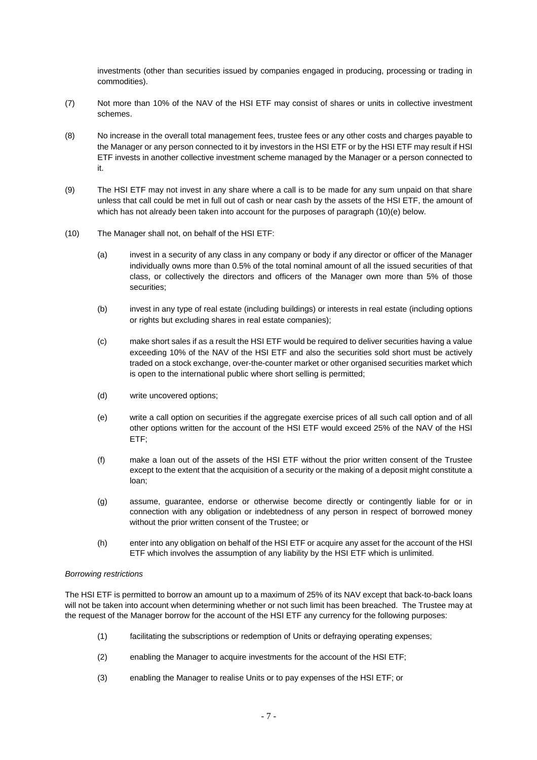investments (other than securities issued by companies engaged in producing, processing or trading in commodities).

- (7) Not more than 10% of the NAV of the HSI ETF may consist of shares or units in collective investment schemes.
- (8) No increase in the overall total management fees, trustee fees or any other costs and charges payable to the Manager or any person connected to it by investors in the HSI ETF or by the HSI ETF may result if HSI ETF invests in another collective investment scheme managed by the Manager or a person connected to it.
- (9) The HSI ETF may not invest in any share where a call is to be made for any sum unpaid on that share unless that call could be met in full out of cash or near cash by the assets of the HSI ETF, the amount of which has not already been taken into account for the purposes of paragraph (10)(e) below.
- (10) The Manager shall not, on behalf of the HSI ETF:
	- (a) invest in a security of any class in any company or body if any director or officer of the Manager individually owns more than 0.5% of the total nominal amount of all the issued securities of that class, or collectively the directors and officers of the Manager own more than 5% of those securities;
	- (b) invest in any type of real estate (including buildings) or interests in real estate (including options or rights but excluding shares in real estate companies);
	- (c) make short sales if as a result the HSI ETF would be required to deliver securities having a value exceeding 10% of the NAV of the HSI ETF and also the securities sold short must be actively traded on a stock exchange, over-the-counter market or other organised securities market which is open to the international public where short selling is permitted;
	- (d) write uncovered options;
	- (e) write a call option on securities if the aggregate exercise prices of all such call option and of all other options written for the account of the HSI ETF would exceed 25% of the NAV of the HSI ETF;
	- (f) make a loan out of the assets of the HSI ETF without the prior written consent of the Trustee except to the extent that the acquisition of a security or the making of a deposit might constitute a loan;
	- (g) assume, guarantee, endorse or otherwise become directly or contingently liable for or in connection with any obligation or indebtedness of any person in respect of borrowed money without the prior written consent of the Trustee; or
	- (h) enter into any obligation on behalf of the HSI ETF or acquire any asset for the account of the HSI ETF which involves the assumption of any liability by the HSI ETF which is unlimited.

#### *Borrowing restrictions*

The HSI ETF is permitted to borrow an amount up to a maximum of 25% of its NAV except that back-to-back loans will not be taken into account when determining whether or not such limit has been breached. The Trustee may at the request of the Manager borrow for the account of the HSI ETF any currency for the following purposes:

- (1) facilitating the subscriptions or redemption of Units or defraying operating expenses;
- (2) enabling the Manager to acquire investments for the account of the HSI ETF;
- (3) enabling the Manager to realise Units or to pay expenses of the HSI ETF; or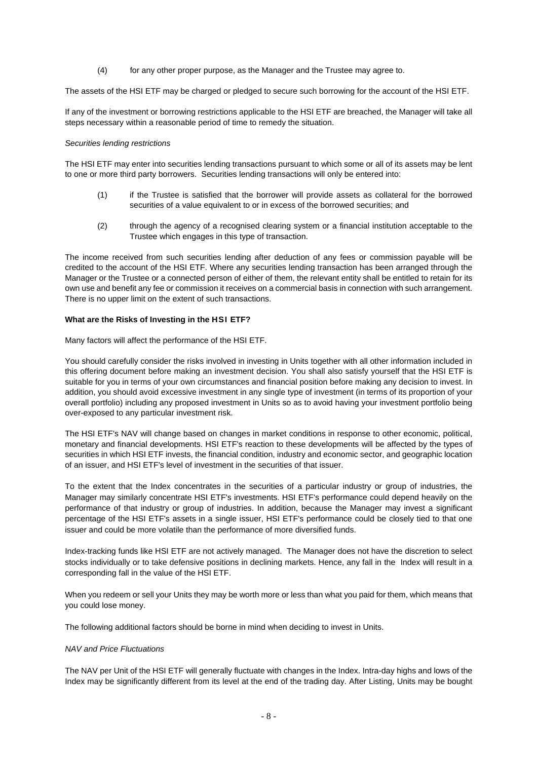(4) for any other proper purpose, as the Manager and the Trustee may agree to.

The assets of the HSI ETF may be charged or pledged to secure such borrowing for the account of the HSI ETF.

If any of the investment or borrowing restrictions applicable to the HSI ETF are breached, the Manager will take all steps necessary within a reasonable period of time to remedy the situation.

#### *Securities lending restrictions*

The HSI ETF may enter into securities lending transactions pursuant to which some or all of its assets may be lent to one or more third party borrowers. Securities lending transactions will only be entered into:

- (1) if the Trustee is satisfied that the borrower will provide assets as collateral for the borrowed securities of a value equivalent to or in excess of the borrowed securities; and
- (2) through the agency of a recognised clearing system or a financial institution acceptable to the Trustee which engages in this type of transaction.

The income received from such securities lending after deduction of any fees or commission payable will be credited to the account of the HSI ETF. Where any securities lending transaction has been arranged through the Manager or the Trustee or a connected person of either of them, the relevant entity shall be entitled to retain for its own use and benefit any fee or commission it receives on a commercial basis in connection with such arrangement. There is no upper limit on the extent of such transactions.

#### **What are the Risks of Investing in the HSI ETF?**

Many factors will affect the performance of the HSI ETF.

You should carefully consider the risks involved in investing in Units together with all other information included in this offering document before making an investment decision. You shall also satisfy yourself that the HSI ETF is suitable for you in terms of your own circumstances and financial position before making any decision to invest. In addition, you should avoid excessive investment in any single type of investment (in terms of its proportion of your overall portfolio) including any proposed investment in Units so as to avoid having your investment portfolio being over-exposed to any particular investment risk.

The HSI ETF's NAV will change based on changes in market conditions in response to other economic, political, monetary and financial developments. HSI ETF's reaction to these developments will be affected by the types of securities in which HSI ETF invests, the financial condition, industry and economic sector, and geographic location of an issuer, and HSI ETF's level of investment in the securities of that issuer.

To the extent that the Index concentrates in the securities of a particular industry or group of industries, the Manager may similarly concentrate HSI ETF's investments. HSI ETF's performance could depend heavily on the performance of that industry or group of industries. In addition, because the Manager may invest a significant percentage of the HSI ETF's assets in a single issuer, HSI ETF's performance could be closely tied to that one issuer and could be more volatile than the performance of more diversified funds.

Index-tracking funds like HSI ETF are not actively managed. The Manager does not have the discretion to select stocks individually or to take defensive positions in declining markets. Hence, any fall in the Index will result in a corresponding fall in the value of the HSI ETF.

When you redeem or sell your Units they may be worth more or less than what you paid for them, which means that you could lose money.

The following additional factors should be borne in mind when deciding to invest in Units.

#### *NAV and Price Fluctuations*

The NAV per Unit of the HSI ETF will generally fluctuate with changes in the Index. Intra-day highs and lows of the Index may be significantly different from its level at the end of the trading day. After Listing, Units may be bought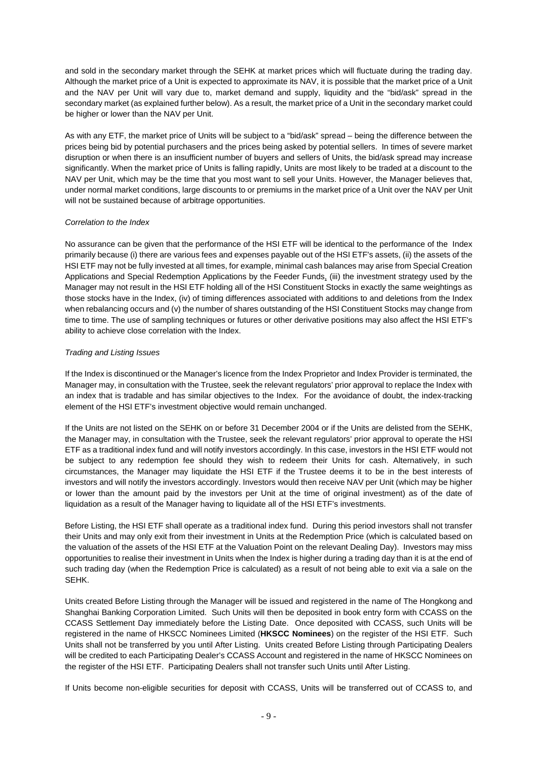and sold in the secondary market through the SEHK at market prices which will fluctuate during the trading day. Although the market price of a Unit is expected to approximate its NAV, it is possible that the market price of a Unit and the NAV per Unit will vary due to, market demand and supply, liquidity and the "bid/ask" spread in the secondary market (as explained further below). As a result, the market price of a Unit in the secondary market could be higher or lower than the NAV per Unit.

As with any ETF, the market price of Units will be subject to a "bid/ask" spread – being the difference between the prices being bid by potential purchasers and the prices being asked by potential sellers. In times of severe market disruption or when there is an insufficient number of buyers and sellers of Units, the bid/ask spread may increase significantly. When the market price of Units is falling rapidly, Units are most likely to be traded at a discount to the NAV per Unit, which may be the time that you most want to sell your Units. However, the Manager believes that, under normal market conditions, large discounts to or premiums in the market price of a Unit over the NAV per Unit will not be sustained because of arbitrage opportunities.

# *Correlation to the Index*

No assurance can be given that the performance of the HSI ETF will be identical to the performance of the Index primarily because (i) there are various fees and expenses payable out of the HSI ETF's assets, (ii) the assets of the HSI ETF may not be fully invested at all times, for example, minimal cash balances may arise from Special Creation Applications and Special Redemption Applications by the Feeder Funds, (iii) the investment strategy used by the Manager may not result in the HSI ETF holding all of the HSI Constituent Stocks in exactly the same weightings as those stocks have in the Index, (iv) of timing differences associated with additions to and deletions from the Index when rebalancing occurs and (v) the number of shares outstanding of the HSI Constituent Stocks may change from time to time. The use of sampling techniques or futures or other derivative positions may also affect the HSI ETF's ability to achieve close correlation with the Index.

# *Trading and Listing Issues*

If the Index is discontinued or the Manager's licence from the Index Proprietor and Index Provider is terminated, the Manager may, in consultation with the Trustee, seek the relevant regulators' prior approval to replace the Index with an index that is tradable and has similar objectives to the Index. For the avoidance of doubt, the index-tracking element of the HSI ETF's investment objective would remain unchanged.

If the Units are not listed on the SEHK on or before 31 December 2004 or if the Units are delisted from the SEHK, the Manager may, in consultation with the Trustee, seek the relevant regulators' prior approval to operate the HSI ETF as a traditional index fund and will notify investors accordingly. In this case, investors in the HSI ETF would not be subject to any redemption fee should they wish to redeem their Units for cash. Alternatively, in such circumstances, the Manager may liquidate the HSI ETF if the Trustee deems it to be in the best interests of investors and will notify the investors accordingly. Investors would then receive NAV per Unit (which may be higher or lower than the amount paid by the investors per Unit at the time of original investment) as of the date of liquidation as a result of the Manager having to liquidate all of the HSI ETF's investments.

Before Listing, the HSI ETF shall operate as a traditional index fund. During this period investors shall not transfer their Units and may only exit from their investment in Units at the Redemption Price (which is calculated based on the valuation of the assets of the HSI ETF at the Valuation Point on the relevant Dealing Day). Investors may miss opportunities to realise their investment in Units when the Index is higher during a trading day than it is at the end of such trading day (when the Redemption Price is calculated) as a result of not being able to exit via a sale on the SEHK.

Units created Before Listing through the Manager will be issued and registered in the name of The Hongkong and Shanghai Banking Corporation Limited. Such Units will then be deposited in book entry form with CCASS on the CCASS Settlement Day immediately before the Listing Date. Once deposited with CCASS, such Units will be registered in the name of HKSCC Nominees Limited (**HKSCC Nominees**) on the register of the HSI ETF. Such Units shall not be transferred by you until After Listing. Units created Before Listing through Participating Dealers will be credited to each Participating Dealer's CCASS Account and registered in the name of HKSCC Nominees on the register of the HSI ETF. Participating Dealers shall not transfer such Units until After Listing.

If Units become non-eligible securities for deposit with CCASS, Units will be transferred out of CCASS to, and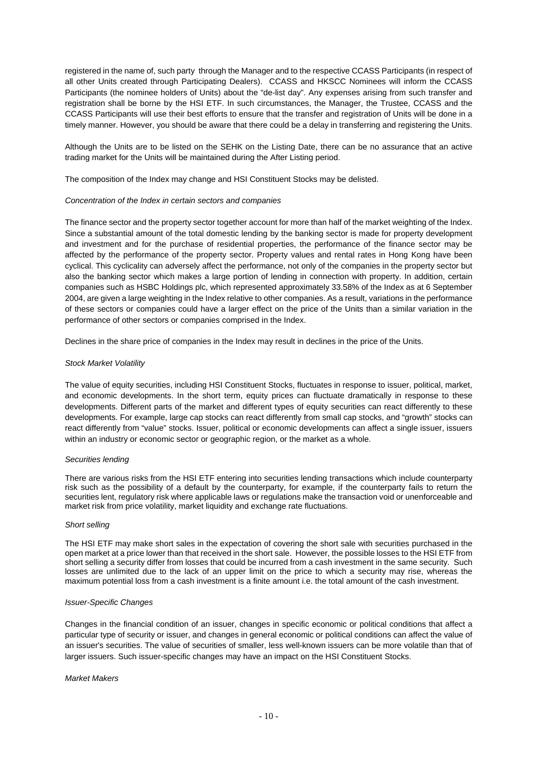registered in the name of, such party through the Manager and to the respective CCASS Participants (in respect of all other Units created through Participating Dealers). CCASS and HKSCC Nominees will inform the CCASS Participants (the nominee holders of Units) about the "de-list day". Any expenses arising from such transfer and registration shall be borne by the HSI ETF. In such circumstances, the Manager, the Trustee, CCASS and the CCASS Participants will use their best efforts to ensure that the transfer and registration of Units will be done in a timely manner. However, you should be aware that there could be a delay in transferring and registering the Units.

Although the Units are to be listed on the SEHK on the Listing Date, there can be no assurance that an active trading market for the Units will be maintained during the After Listing period.

The composition of the Index may change and HSI Constituent Stocks may be delisted.

#### *Concentration of the Index in certain sectors and companies*

The finance sector and the property sector together account for more than half of the market weighting of the Index. Since a substantial amount of the total domestic lending by the banking sector is made for property development and investment and for the purchase of residential properties, the performance of the finance sector may be affected by the performance of the property sector. Property values and rental rates in Hong Kong have been cyclical. This cyclicality can adversely affect the performance, not only of the companies in the property sector but also the banking sector which makes a large portion of lending in connection with property. In addition, certain companies such as HSBC Holdings plc, which represented approximately 33.58% of the Index as at 6 September 2004, are given a large weighting in the Index relative to other companies. As a result, variations in the performance of these sectors or companies could have a larger effect on the price of the Units than a similar variation in the performance of other sectors or companies comprised in the Index.

Declines in the share price of companies in the Index may result in declines in the price of the Units.

#### *Stock Market Volatility*

The value of equity securities, including HSI Constituent Stocks, fluctuates in response to issuer, political, market, and economic developments. In the short term, equity prices can fluctuate dramatically in response to these developments. Different parts of the market and different types of equity securities can react differently to these developments. For example, large cap stocks can react differently from small cap stocks, and "growth" stocks can react differently from "value" stocks. Issuer, political or economic developments can affect a single issuer, issuers within an industry or economic sector or geographic region, or the market as a whole.

#### *Securities lending*

There are various risks from the HSI ETF entering into securities lending transactions which include counterparty risk such as the possibility of a default by the counterparty, for example, if the counterparty fails to return the securities lent, regulatory risk where applicable laws or regulations make the transaction void or unenforceable and market risk from price volatility, market liquidity and exchange rate fluctuations.

#### *Short selling*

The HSI ETF may make short sales in the expectation of covering the short sale with securities purchased in the open market at a price lower than that received in the short sale. However, the possible losses to the HSI ETF from short selling a security differ from losses that could be incurred from a cash investment in the same security. Such losses are unlimited due to the lack of an upper limit on the price to which a security may rise, whereas the maximum potential loss from a cash investment is a finite amount i.e. the total amount of the cash investment.

#### *Issuer-Specific Changes*

Changes in the financial condition of an issuer, changes in specific economic or political conditions that affect a particular type of security or issuer, and changes in general economic or political conditions can affect the value of an issuer's securities. The value of securities of smaller, less well-known issuers can be more volatile than that of larger issuers. Such issuer-specific changes may have an impact on the HSI Constituent Stocks.

#### *Market Makers*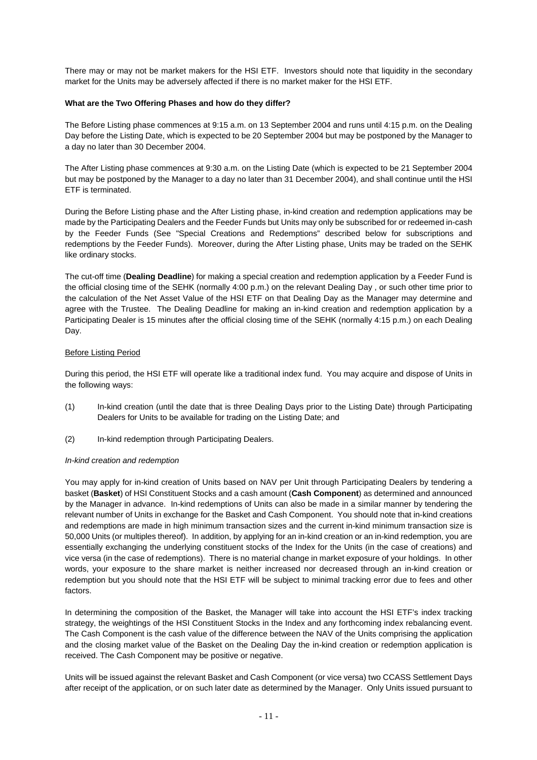There may or may not be market makers for the HSI ETF. Investors should note that liquidity in the secondary market for the Units may be adversely affected if there is no market maker for the HSI ETF.

### **What are the Two Offering Phases and how do they differ?**

The Before Listing phase commences at 9:15 a.m. on 13 September 2004 and runs until 4:15 p.m. on the Dealing Day before the Listing Date, which is expected to be 20 September 2004 but may be postponed by the Manager to a day no later than 30 December 2004.

The After Listing phase commences at 9:30 a.m. on the Listing Date (which is expected to be 21 September 2004 but may be postponed by the Manager to a day no later than 31 December 2004), and shall continue until the HSI ETF is terminated.

During the Before Listing phase and the After Listing phase, in-kind creation and redemption applications may be made by the Participating Dealers and the Feeder Funds but Units may only be subscribed for or redeemed in-cash by the Feeder Funds (See "Special Creations and Redemptions" described below for subscriptions and redemptions by the Feeder Funds). Moreover, during the After Listing phase, Units may be traded on the SEHK like ordinary stocks.

The cut-off time (**Dealing Deadline**) for making a special creation and redemption application by a Feeder Fund is the official closing time of the SEHK (normally 4:00 p.m.) on the relevant Dealing Day , or such other time prior to the calculation of the Net Asset Value of the HSI ETF on that Dealing Day as the Manager may determine and agree with the Trustee. The Dealing Deadline for making an in-kind creation and redemption application by a Participating Dealer is 15 minutes after the official closing time of the SEHK (normally 4:15 p.m.) on each Dealing Day.

#### Before Listing Period

During this period, the HSI ETF will operate like a traditional index fund. You may acquire and dispose of Units in the following ways:

- (1) In-kind creation (until the date that is three Dealing Days prior to the Listing Date) through Participating Dealers for Units to be available for trading on the Listing Date; and
- (2) In-kind redemption through Participating Dealers.

#### *In-kind creation and redemption*

You may apply for in-kind creation of Units based on NAV per Unit through Participating Dealers by tendering a basket (**Basket**) of HSI Constituent Stocks and a cash amount (**Cash Component**) as determined and announced by the Manager in advance. In-kind redemptions of Units can also be made in a similar manner by tendering the relevant number of Units in exchange for the Basket and Cash Component. You should note that in-kind creations and redemptions are made in high minimum transaction sizes and the current in-kind minimum transaction size is 50,000 Units (or multiples thereof). In addition, by applying for an in-kind creation or an in-kind redemption, you are essentially exchanging the underlying constituent stocks of the Index for the Units (in the case of creations) and vice versa (in the case of redemptions). There is no material change in market exposure of your holdings. In other words, your exposure to the share market is neither increased nor decreased through an in-kind creation or redemption but you should note that the HSI ETF will be subject to minimal tracking error due to fees and other factors.

In determining the composition of the Basket, the Manager will take into account the HSI ETF's index tracking strategy, the weightings of the HSI Constituent Stocks in the Index and any forthcoming index rebalancing event. The Cash Component is the cash value of the difference between the NAV of the Units comprising the application and the closing market value of the Basket on the Dealing Day the in-kind creation or redemption application is received. The Cash Component may be positive or negative.

Units will be issued against the relevant Basket and Cash Component (or vice versa) two CCASS Settlement Days after receipt of the application, or on such later date as determined by the Manager. Only Units issued pursuant to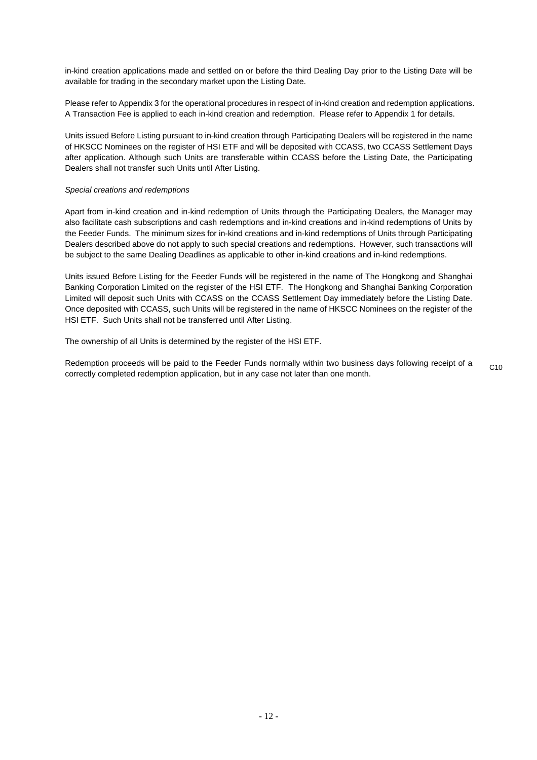in-kind creation applications made and settled on or before the third Dealing Day prior to the Listing Date will be available for trading in the secondary market upon the Listing Date.

Please refer to Appendix 3 for the operational procedures in respect of in-kind creation and redemption applications. A Transaction Fee is applied to each in-kind creation and redemption. Please refer to Appendix 1 for details.

Units issued Before Listing pursuant to in-kind creation through Participating Dealers will be registered in the name of HKSCC Nominees on the register of HSI ETF and will be deposited with CCASS, two CCASS Settlement Days after application. Although such Units are transferable within CCASS before the Listing Date, the Participating Dealers shall not transfer such Units until After Listing.

#### *Special creations and redemptions*

Apart from in-kind creation and in-kind redemption of Units through the Participating Dealers, the Manager may also facilitate cash subscriptions and cash redemptions and in-kind creations and in-kind redemptions of Units by the Feeder Funds. The minimum sizes for in-kind creations and in-kind redemptions of Units through Participating Dealers described above do not apply to such special creations and redemptions. However, such transactions will be subject to the same Dealing Deadlines as applicable to other in-kind creations and in-kind redemptions.

Units issued Before Listing for the Feeder Funds will be registered in the name of The Hongkong and Shanghai Banking Corporation Limited on the register of the HSI ETF. The Hongkong and Shanghai Banking Corporation Limited will deposit such Units with CCASS on the CCASS Settlement Day immediately before the Listing Date. Once deposited with CCASS, such Units will be registered in the name of HKSCC Nominees on the register of the HSI ETF. Such Units shall not be transferred until After Listing.

The ownership of all Units is determined by the register of the HSI ETF.

Redemption proceeds will be paid to the Feeder Funds normally within two business days following receipt of a correctly completed redemption application, but in any case not later than one month.  $C<sub>10</sub>$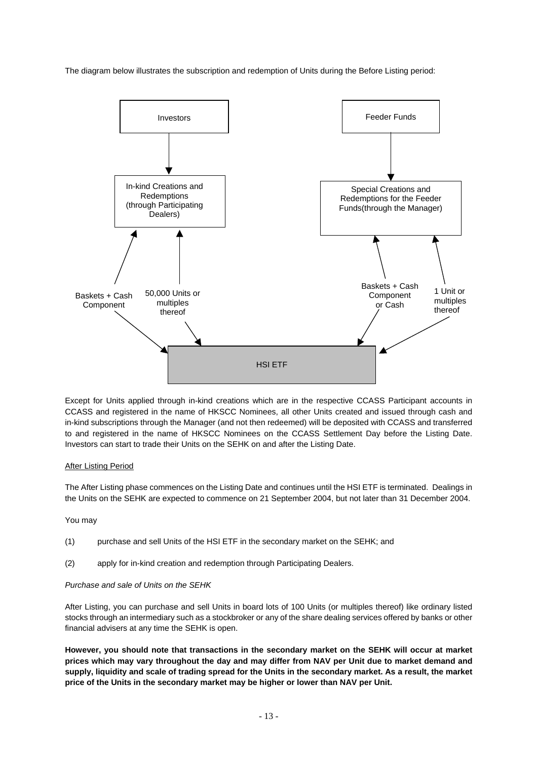The diagram below illustrates the subscription and redemption of Units during the Before Listing period:



Except for Units applied through in-kind creations which are in the respective CCASS Participant accounts in CCASS and registered in the name of HKSCC Nominees, all other Units created and issued through cash and in-kind subscriptions through the Manager (and not then redeemed) will be deposited with CCASS and transferred to and registered in the name of HKSCC Nominees on the CCASS Settlement Day before the Listing Date. Investors can start to trade their Units on the SEHK on and after the Listing Date.

# After Listing Period

The After Listing phase commences on the Listing Date and continues until the HSI ETF is terminated. Dealings in the Units on the SEHK are expected to commence on 21 September 2004, but not later than 31 December 2004.

#### You may

- (1) purchase and sell Units of the HSI ETF in the secondary market on the SEHK; and
- (2) apply for in-kind creation and redemption through Participating Dealers.

#### *Purchase and sale of Units on the SEHK*

After Listing, you can purchase and sell Units in board lots of 100 Units (or multiples thereof) like ordinary listed stocks through an intermediary such as a stockbroker or any of the share dealing services offered by banks or other financial advisers at any time the SEHK is open.

**However, you should note that transactions in the secondary market on the SEHK will occur at market prices which may vary throughout the day and may differ from NAV per Unit due to market demand and supply, liquidity and scale of trading spread for the Units in the secondary market. As a result, the market price of the Units in the secondary market may be higher or lower than NAV per Unit.**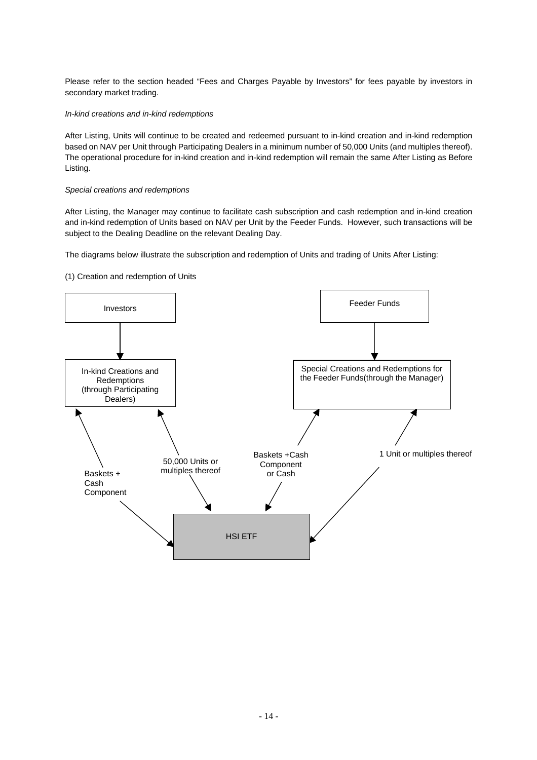Please refer to the section headed "Fees and Charges Payable by Investors" for fees payable by investors in secondary market trading.

# *In-kind creations and in-kind redemptions*

After Listing, Units will continue to be created and redeemed pursuant to in-kind creation and in-kind redemption based on NAV per Unit through Participating Dealers in a minimum number of 50,000 Units (and multiples thereof). The operational procedure for in-kind creation and in-kind redemption will remain the same After Listing as Before Listing.

# *Special creations and redemptions*

After Listing, the Manager may continue to facilitate cash subscription and cash redemption and in-kind creation and in-kind redemption of Units based on NAV per Unit by the Feeder Funds. However, such transactions will be subject to the Dealing Deadline on the relevant Dealing Day.

The diagrams below illustrate the subscription and redemption of Units and trading of Units After Listing:

# (1) Creation and redemption of Units

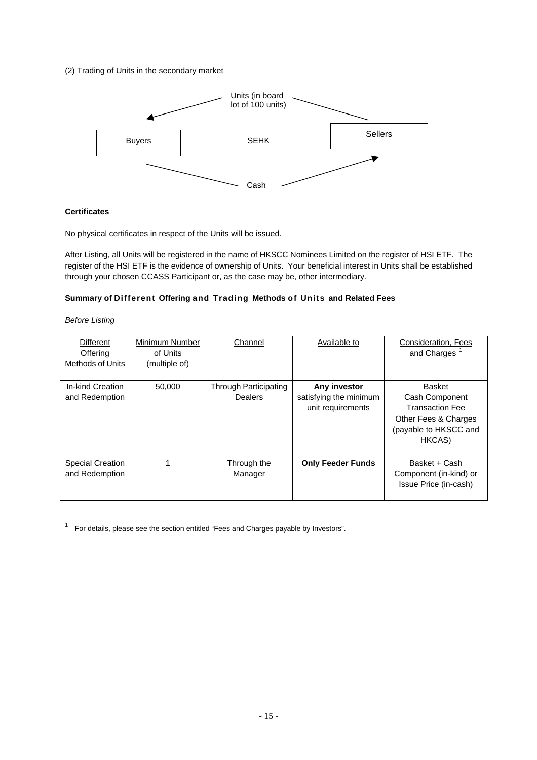# (2) Trading of Units in the secondary market



# **Certificates**

No physical certificates in respect of the Units will be issued.

After Listing, all Units will be registered in the name of HKSCC Nominees Limited on the register of HSI ETF. The register of the HSI ETF is the evidence of ownership of Units. Your beneficial interest in Units shall be established through your chosen CCASS Participant or, as the case may be, other intermediary.

# **Summary of Different Offering and Trading Methods of Units and Related Fees**

*Before Listing* 

| <b>Different</b><br><b>Offering</b><br><b>Methods of Units</b> | Minimum Number<br>of Units<br>(multiple of) | Channel                                 | Available to                                                | Consideration, Fees<br>and Charges                                                                            |
|----------------------------------------------------------------|---------------------------------------------|-----------------------------------------|-------------------------------------------------------------|---------------------------------------------------------------------------------------------------------------|
| In-kind Creation<br>and Redemption                             | 50,000                                      | Through Participating<br><b>Dealers</b> | Any investor<br>satisfying the minimum<br>unit requirements | Basket<br>Cash Component<br><b>Transaction Fee</b><br>Other Fees & Charges<br>(payable to HKSCC and<br>HKCAS) |
| <b>Special Creation</b><br>and Redemption                      |                                             | Through the<br>Manager                  | <b>Only Feeder Funds</b>                                    | Basket + Cash<br>Component (in-kind) or<br>Issue Price (in-cash)                                              |

 $1$  For details, please see the section entitled "Fees and Charges payable by Investors".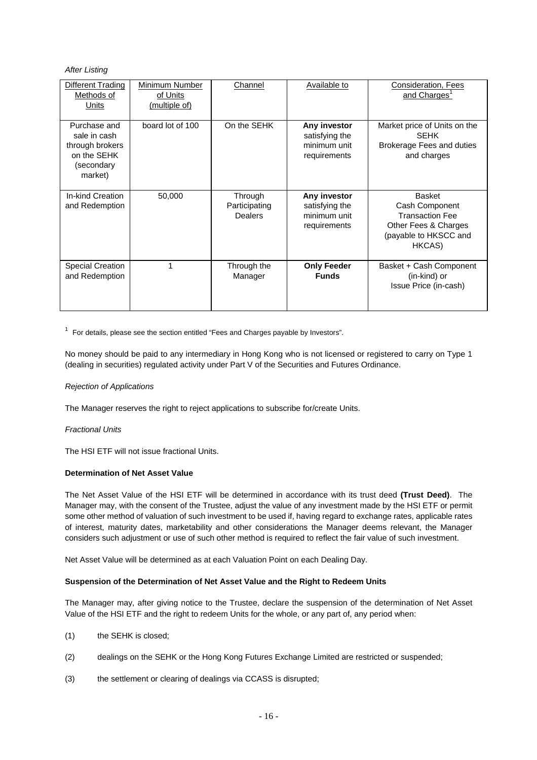# *After Listing*

| Different Trading<br>Methods of<br>Units                                                | Minimum Number<br>of Units<br>(multiple of) | Channel                             | Available to                                                   | <b>Consideration, Fees</b><br>and Charges <sup>1</sup>                                                               |
|-----------------------------------------------------------------------------------------|---------------------------------------------|-------------------------------------|----------------------------------------------------------------|----------------------------------------------------------------------------------------------------------------------|
| Purchase and<br>sale in cash<br>through brokers<br>on the SEHK<br>(secondary<br>market) | board lot of 100                            | On the SEHK                         | Any investor<br>satisfying the<br>minimum unit<br>requirements | Market price of Units on the<br><b>SEHK</b><br>Brokerage Fees and duties<br>and charges                              |
| In-kind Creation<br>and Redemption                                                      | 50,000                                      | Through<br>Participating<br>Dealers | Any investor<br>satisfying the<br>minimum unit<br>requirements | <b>Basket</b><br>Cash Component<br><b>Transaction Fee</b><br>Other Fees & Charges<br>(payable to HKSCC and<br>HKCAS) |
| <b>Special Creation</b><br>and Redemption                                               | 1                                           | Through the<br>Manager              | <b>Only Feeder</b><br><b>Funds</b>                             | Basket + Cash Component<br>(in-kind) or<br>Issue Price (in-cash)                                                     |

 $1$  For details, please see the section entitled "Fees and Charges payable by Investors".

No money should be paid to any intermediary in Hong Kong who is not licensed or registered to carry on Type 1 (dealing in securities) regulated activity under Part V of the Securities and Futures Ordinance.

# *Rejection of Applications*

The Manager reserves the right to reject applications to subscribe for/create Units.

#### *Fractional Units*

The HSI ETF will not issue fractional Units.

#### **Determination of Net Asset Value**

The Net Asset Value of the HSI ETF will be determined in accordance with its trust deed **(Trust Deed)**. The Manager may, with the consent of the Trustee, adjust the value of any investment made by the HSI ETF or permit some other method of valuation of such investment to be used if, having regard to exchange rates, applicable rates of interest, maturity dates, marketability and other considerations the Manager deems relevant, the Manager considers such adjustment or use of such other method is required to reflect the fair value of such investment.

Net Asset Value will be determined as at each Valuation Point on each Dealing Day.

#### **Suspension of the Determination of Net Asset Value and the Right to Redeem Units**

The Manager may, after giving notice to the Trustee, declare the suspension of the determination of Net Asset Value of the HSI ETF and the right to redeem Units for the whole, or any part of, any period when:

- (1) the SEHK is closed;
- (2) dealings on the SEHK or the Hong Kong Futures Exchange Limited are restricted or suspended;
- (3) the settlement or clearing of dealings via CCASS is disrupted;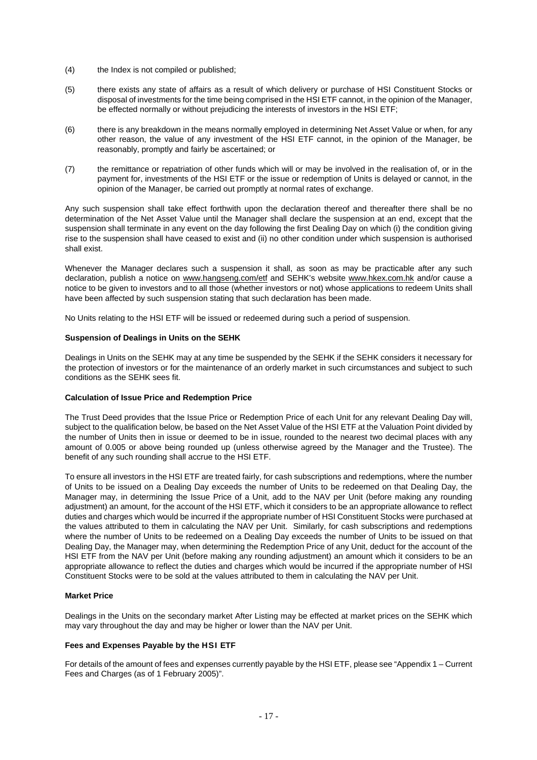- (4) the Index is not compiled or published;
- (5) there exists any state of affairs as a result of which delivery or purchase of HSI Constituent Stocks or disposal of investments for the time being comprised in the HSI ETF cannot, in the opinion of the Manager, be effected normally or without prejudicing the interests of investors in the HSI ETF;
- (6) there is any breakdown in the means normally employed in determining Net Asset Value or when, for any other reason, the value of any investment of the HSI ETF cannot, in the opinion of the Manager, be reasonably, promptly and fairly be ascertained; or
- (7) the remittance or repatriation of other funds which will or may be involved in the realisation of, or in the payment for, investments of the HSI ETF or the issue or redemption of Units is delayed or cannot, in the opinion of the Manager, be carried out promptly at normal rates of exchange.

Any such suspension shall take effect forthwith upon the declaration thereof and thereafter there shall be no determination of the Net Asset Value until the Manager shall declare the suspension at an end, except that the suspension shall terminate in any event on the day following the first Dealing Day on which (i) the condition giving rise to the suspension shall have ceased to exist and (ii) no other condition under which suspension is authorised shall exist.

Whenever the Manager declares such a suspension it shall, as soon as may be practicable after any such declaration, publish a notice on www.hangseng.com/etf and SEHK's website www.hkex.com.hk and/or cause a notice to be given to investors and to all those (whether investors or not) whose applications to redeem Units shall have been affected by such suspension stating that such declaration has been made.

No Units relating to the HSI ETF will be issued or redeemed during such a period of suspension.

#### **Suspension of Dealings in Units on the SEHK**

Dealings in Units on the SEHK may at any time be suspended by the SEHK if the SEHK considers it necessary for the protection of investors or for the maintenance of an orderly market in such circumstances and subject to such conditions as the SEHK sees fit.

#### **Calculation of Issue Price and Redemption Price**

The Trust Deed provides that the Issue Price or Redemption Price of each Unit for any relevant Dealing Day will, subject to the qualification below, be based on the Net Asset Value of the HSI ETF at the Valuation Point divided by the number of Units then in issue or deemed to be in issue, rounded to the nearest two decimal places with any amount of 0.005 or above being rounded up (unless otherwise agreed by the Manager and the Trustee). The benefit of any such rounding shall accrue to the HSI ETF.

To ensure all investors in the HSI ETF are treated fairly, for cash subscriptions and redemptions, where the number of Units to be issued on a Dealing Day exceeds the number of Units to be redeemed on that Dealing Day, the Manager may, in determining the Issue Price of a Unit, add to the NAV per Unit (before making any rounding adjustment) an amount, for the account of the HSI ETF, which it considers to be an appropriate allowance to reflect duties and charges which would be incurred if the appropriate number of HSI Constituent Stocks were purchased at the values attributed to them in calculating the NAV per Unit. Similarly, for cash subscriptions and redemptions where the number of Units to be redeemed on a Dealing Day exceeds the number of Units to be issued on that Dealing Day, the Manager may, when determining the Redemption Price of any Unit, deduct for the account of the HSI ETF from the NAV per Unit (before making any rounding adjustment) an amount which it considers to be an appropriate allowance to reflect the duties and charges which would be incurred if the appropriate number of HSI Constituent Stocks were to be sold at the values attributed to them in calculating the NAV per Unit.

# **Market Price**

Dealings in the Units on the secondary market After Listing may be effected at market prices on the SEHK which may vary throughout the day and may be higher or lower than the NAV per Unit.

# **Fees and Expenses Payable by the HSI ETF**

For details of the amount of fees and expenses currently payable by the HSI ETF, please see "Appendix 1 – Current Fees and Charges (as of 1 February 2005)".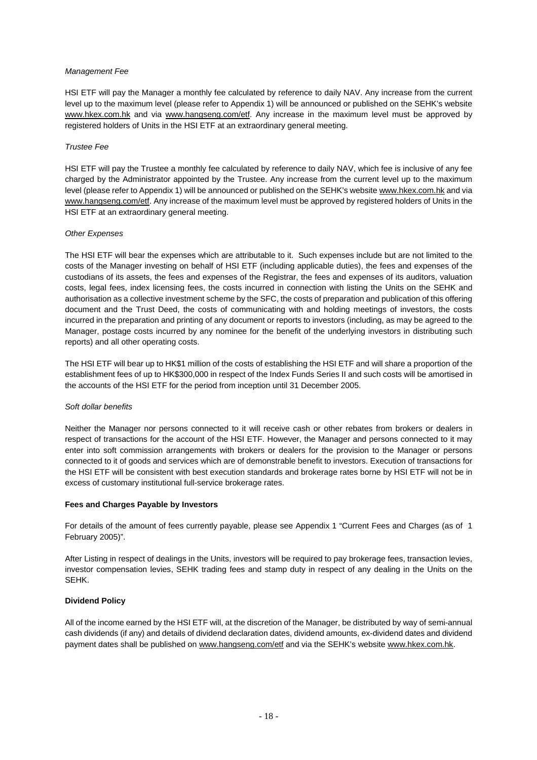#### *Management Fee*

HSI ETF will pay the Manager a monthly fee calculated by reference to daily NAV. Any increase from the current level up to the maximum level (please refer to Appendix 1) will be announced or published on the SEHK's website www.hkex.com.hk and via www.hangseng.com/etf. Any increase in the maximum level must be approved by registered holders of Units in the HSI ETF at an extraordinary general meeting.

### *Trustee Fee*

HSI ETF will pay the Trustee a monthly fee calculated by reference to daily NAV, which fee is inclusive of any fee charged by the Administrator appointed by the Trustee. Any increase from the current level up to the maximum level (please refer to Appendix 1) will be announced or published on the SEHK's website www.hkex.com.hk and via www.hangseng.com/etf. Any increase of the maximum level must be approved by registered holders of Units in the HSI ETF at an extraordinary general meeting.

#### *Other Expenses*

The HSI ETF will bear the expenses which are attributable to it. Such expenses include but are not limited to the costs of the Manager investing on behalf of HSI ETF (including applicable duties), the fees and expenses of the custodians of its assets, the fees and expenses of the Registrar, the fees and expenses of its auditors, valuation costs, legal fees, index licensing fees, the costs incurred in connection with listing the Units on the SEHK and authorisation as a collective investment scheme by the SFC, the costs of preparation and publication of this offering document and the Trust Deed, the costs of communicating with and holding meetings of investors, the costs incurred in the preparation and printing of any document or reports to investors (including, as may be agreed to the Manager, postage costs incurred by any nominee for the benefit of the underlying investors in distributing such reports) and all other operating costs.

The HSI ETF will bear up to HK\$1 million of the costs of establishing the HSI ETF and will share a proportion of the establishment fees of up to HK\$300,000 in respect of the Index Funds Series II and such costs will be amortised in the accounts of the HSI ETF for the period from inception until 31 December 2005.

# *Soft dollar benefits*

Neither the Manager nor persons connected to it will receive cash or other rebates from brokers or dealers in respect of transactions for the account of the HSI ETF. However, the Manager and persons connected to it may enter into soft commission arrangements with brokers or dealers for the provision to the Manager or persons connected to it of goods and services which are of demonstrable benefit to investors. Execution of transactions for the HSI ETF will be consistent with best execution standards and brokerage rates borne by HSI ETF will not be in excess of customary institutional full-service brokerage rates.

# **Fees and Charges Payable by Investors**

For details of the amount of fees currently payable, please see Appendix 1 "Current Fees and Charges (as of 1 February 2005)".

After Listing in respect of dealings in the Units, investors will be required to pay brokerage fees, transaction levies, investor compensation levies, SEHK trading fees and stamp duty in respect of any dealing in the Units on the SEHK.

# **Dividend Policy**

All of the income earned by the HSI ETF will, at the discretion of the Manager, be distributed by way of semi-annual cash dividends (if any) and details of dividend declaration dates, dividend amounts, ex-dividend dates and dividend payment dates shall be published on www.hangseng.com/etf and via the SEHK's website www.hkex.com.hk.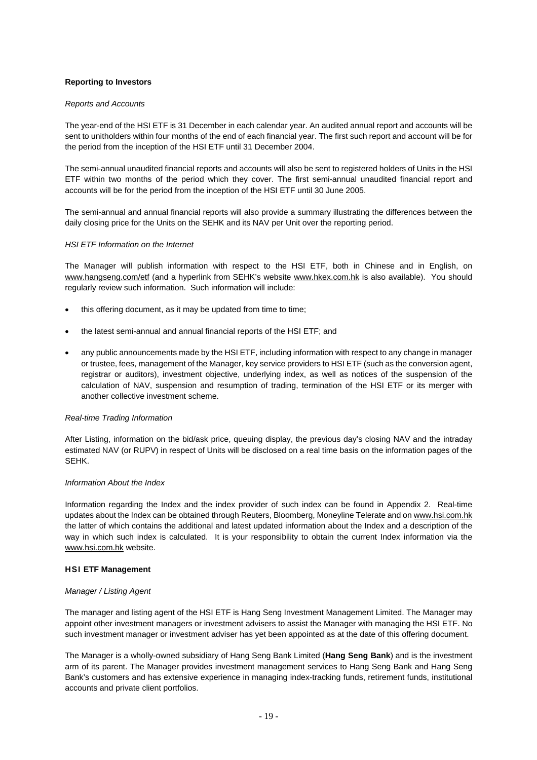# **Reporting to Investors**

#### *Reports and Accounts*

The year-end of the HSI ETF is 31 December in each calendar year. An audited annual report and accounts will be sent to unitholders within four months of the end of each financial year. The first such report and account will be for the period from the inception of the HSI ETF until 31 December 2004.

The semi-annual unaudited financial reports and accounts will also be sent to registered holders of Units in the HSI ETF within two months of the period which they cover. The first semi-annual unaudited financial report and accounts will be for the period from the inception of the HSI ETF until 30 June 2005.

The semi-annual and annual financial reports will also provide a summary illustrating the differences between the daily closing price for the Units on the SEHK and its NAV per Unit over the reporting period.

#### *HSI ETF Information on the Internet*

The Manager will publish information with respect to the HSI ETF, both in Chinese and in English, on www.hangseng.com/etf (and a hyperlink from SEHK's website www.hkex.com.hk is also available). You should regularly review such information. Such information will include:

- this offering document, as it may be updated from time to time:
- the latest semi-annual and annual financial reports of the HSI ETF; and
- any public announcements made by the HSI ETF, including information with respect to any change in manager or trustee, fees, management of the Manager, key service providers to HSI ETF (such as the conversion agent, registrar or auditors), investment objective, underlying index, as well as notices of the suspension of the calculation of NAV, suspension and resumption of trading, termination of the HSI ETF or its merger with another collective investment scheme.

#### *Real-time Trading Information*

After Listing, information on the bid/ask price, queuing display, the previous day's closing NAV and the intraday estimated NAV (or RUPV) in respect of Units will be disclosed on a real time basis on the information pages of the SEHK.

#### *Information About the Index*

Information regarding the Index and the index provider of such index can be found in Appendix 2. Real-time updates about the Index can be obtained through Reuters, Bloomberg, Moneyline Telerate and on www.hsi.com.hk the latter of which contains the additional and latest updated information about the Index and a description of the way in which such index is calculated. It is your responsibility to obtain the current Index information via the www.hsi.com.hk website.

#### **HSI ETF Management**

#### *Manager / Listing Agent*

The manager and listing agent of the HSI ETF is Hang Seng Investment Management Limited. The Manager may appoint other investment managers or investment advisers to assist the Manager with managing the HSI ETF. No such investment manager or investment adviser has yet been appointed as at the date of this offering document.

The Manager is a wholly-owned subsidiary of Hang Seng Bank Limited (**Hang Seng Bank**) and is the investment arm of its parent. The Manager provides investment management services to Hang Seng Bank and Hang Seng Bank's customers and has extensive experience in managing index-tracking funds, retirement funds, institutional accounts and private client portfolios.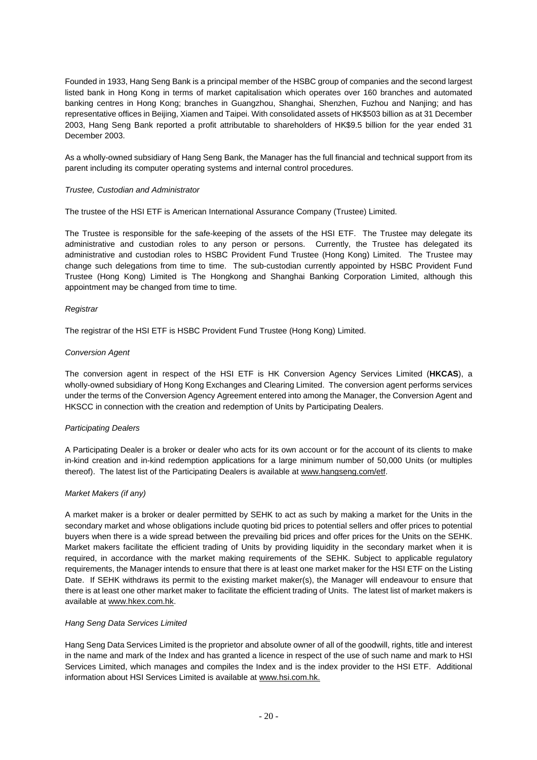Founded in 1933, Hang Seng Bank is a principal member of the HSBC group of companies and the second largest listed bank in Hong Kong in terms of market capitalisation which operates over 160 branches and automated banking centres in Hong Kong; branches in Guangzhou, Shanghai, Shenzhen, Fuzhou and Nanjing; and has representative offices in Beijing, Xiamen and Taipei. With consolidated assets of HK\$503 billion as at 31 December 2003, Hang Seng Bank reported a profit attributable to shareholders of HK\$9.5 billion for the year ended 31 December 2003.

As a wholly-owned subsidiary of Hang Seng Bank, the Manager has the full financial and technical support from its parent including its computer operating systems and internal control procedures.

#### *Trustee, Custodian and Administrator*

The trustee of the HSI ETF is American International Assurance Company (Trustee) Limited.

The Trustee is responsible for the safe-keeping of the assets of the HSI ETF. The Trustee may delegate its administrative and custodian roles to any person or persons. Currently, the Trustee has delegated its administrative and custodian roles to HSBC Provident Fund Trustee (Hong Kong) Limited. The Trustee may change such delegations from time to time. The sub-custodian currently appointed by HSBC Provident Fund Trustee (Hong Kong) Limited is The Hongkong and Shanghai Banking Corporation Limited, although this appointment may be changed from time to time.

#### *Registrar*

The registrar of the HSI ETF is HSBC Provident Fund Trustee (Hong Kong) Limited.

#### *Conversion Agent*

The conversion agent in respect of the HSI ETF is HK Conversion Agency Services Limited (**HKCAS**), a wholly-owned subsidiary of Hong Kong Exchanges and Clearing Limited. The conversion agent performs services under the terms of the Conversion Agency Agreement entered into among the Manager, the Conversion Agent and HKSCC in connection with the creation and redemption of Units by Participating Dealers.

#### *Participating Dealers*

A Participating Dealer is a broker or dealer who acts for its own account or for the account of its clients to make in-kind creation and in-kind redemption applications for a large minimum number of 50,000 Units (or multiples thereof). The latest list of the Participating Dealers is available at www.hangseng.com/etf.

#### *Market Makers (if any)*

A market maker is a broker or dealer permitted by SEHK to act as such by making a market for the Units in the secondary market and whose obligations include quoting bid prices to potential sellers and offer prices to potential buyers when there is a wide spread between the prevailing bid prices and offer prices for the Units on the SEHK. Market makers facilitate the efficient trading of Units by providing liquidity in the secondary market when it is required, in accordance with the market making requirements of the SEHK. Subject to applicable regulatory requirements, the Manager intends to ensure that there is at least one market maker for the HSI ETF on the Listing Date. If SEHK withdraws its permit to the existing market maker(s), the Manager will endeavour to ensure that there is at least one other market maker to facilitate the efficient trading of Units. The latest list of market makers is available at www.hkex.com.hk.

# *Hang Seng Data Services Limited*

Hang Seng Data Services Limited is the proprietor and absolute owner of all of the goodwill, rights, title and interest in the name and mark of the Index and has granted a licence in respect of the use of such name and mark to HSI Services Limited, which manages and compiles the Index and is the index provider to the HSI ETF. Additional information about HSI Services Limited is available at www.hsi.com.hk.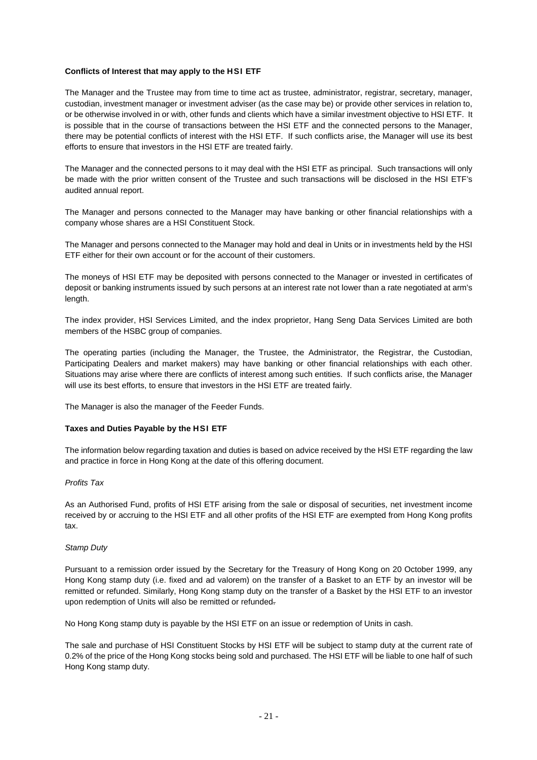### **Conflicts of Interest that may apply to the HSI ETF**

The Manager and the Trustee may from time to time act as trustee, administrator, registrar, secretary, manager, custodian, investment manager or investment adviser (as the case may be) or provide other services in relation to, or be otherwise involved in or with, other funds and clients which have a similar investment objective to HSI ETF. It is possible that in the course of transactions between the HSI ETF and the connected persons to the Manager, there may be potential conflicts of interest with the HSI ETF. If such conflicts arise, the Manager will use its best efforts to ensure that investors in the HSI ETF are treated fairly.

The Manager and the connected persons to it may deal with the HSI ETF as principal. Such transactions will only be made with the prior written consent of the Trustee and such transactions will be disclosed in the HSI ETF's audited annual report.

The Manager and persons connected to the Manager may have banking or other financial relationships with a company whose shares are a HSI Constituent Stock.

The Manager and persons connected to the Manager may hold and deal in Units or in investments held by the HSI ETF either for their own account or for the account of their customers.

The moneys of HSI ETF may be deposited with persons connected to the Manager or invested in certificates of deposit or banking instruments issued by such persons at an interest rate not lower than a rate negotiated at arm's length.

The index provider, HSI Services Limited, and the index proprietor, Hang Seng Data Services Limited are both members of the HSBC group of companies.

The operating parties (including the Manager, the Trustee, the Administrator, the Registrar, the Custodian, Participating Dealers and market makers) may have banking or other financial relationships with each other. Situations may arise where there are conflicts of interest among such entities. If such conflicts arise, the Manager will use its best efforts, to ensure that investors in the HSI ETF are treated fairly.

The Manager is also the manager of the Feeder Funds.

#### **Taxes and Duties Payable by the HSI ETF**

The information below regarding taxation and duties is based on advice received by the HSI ETF regarding the law and practice in force in Hong Kong at the date of this offering document.

#### *Profits Tax*

As an Authorised Fund, profits of HSI ETF arising from the sale or disposal of securities, net investment income received by or accruing to the HSI ETF and all other profits of the HSI ETF are exempted from Hong Kong profits tax.

#### *Stamp Duty*

Pursuant to a remission order issued by the Secretary for the Treasury of Hong Kong on 20 October 1999, any Hong Kong stamp duty (i.e. fixed and ad valorem) on the transfer of a Basket to an ETF by an investor will be remitted or refunded. Similarly, Hong Kong stamp duty on the transfer of a Basket by the HSI ETF to an investor upon redemption of Units will also be remitted or refunded.

No Hong Kong stamp duty is payable by the HSI ETF on an issue or redemption of Units in cash.

The sale and purchase of HSI Constituent Stocks by HSI ETF will be subject to stamp duty at the current rate of 0.2% of the price of the Hong Kong stocks being sold and purchased. The HSI ETF will be liable to one half of such Hong Kong stamp duty.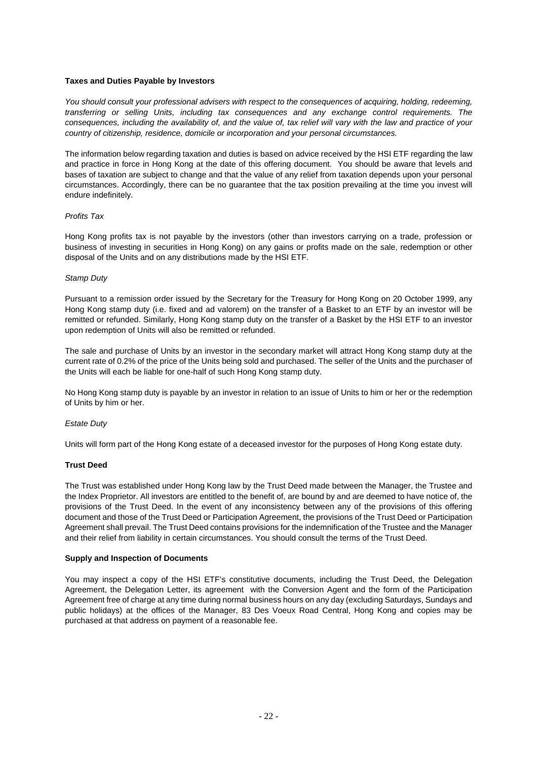#### **Taxes and Duties Payable by Investors**

*You should consult your professional advisers with respect to the consequences of acquiring, holding, redeeming, transferring or selling Units, including tax consequences and any exchange control requirements. The consequences, including the availability of, and the value of, tax relief will vary with the law and practice of your country of citizenship, residence, domicile or incorporation and your personal circumstances.* 

The information below regarding taxation and duties is based on advice received by the HSI ETF regarding the law and practice in force in Hong Kong at the date of this offering document. You should be aware that levels and bases of taxation are subject to change and that the value of any relief from taxation depends upon your personal circumstances. Accordingly, there can be no guarantee that the tax position prevailing at the time you invest will endure indefinitely.

#### *Profits Tax*

Hong Kong profits tax is not payable by the investors (other than investors carrying on a trade, profession or business of investing in securities in Hong Kong) on any gains or profits made on the sale, redemption or other disposal of the Units and on any distributions made by the HSI ETF.

#### *Stamp Duty*

Pursuant to a remission order issued by the Secretary for the Treasury for Hong Kong on 20 October 1999, any Hong Kong stamp duty (i.e. fixed and ad valorem) on the transfer of a Basket to an ETF by an investor will be remitted or refunded. Similarly, Hong Kong stamp duty on the transfer of a Basket by the HSI ETF to an investor upon redemption of Units will also be remitted or refunded.

The sale and purchase of Units by an investor in the secondary market will attract Hong Kong stamp duty at the current rate of 0.2% of the price of the Units being sold and purchased. The seller of the Units and the purchaser of the Units will each be liable for one-half of such Hong Kong stamp duty.

No Hong Kong stamp duty is payable by an investor in relation to an issue of Units to him or her or the redemption of Units by him or her.

# *Estate Duty*

Units will form part of the Hong Kong estate of a deceased investor for the purposes of Hong Kong estate duty.

#### **Trust Deed**

The Trust was established under Hong Kong law by the Trust Deed made between the Manager, the Trustee and the Index Proprietor. All investors are entitled to the benefit of, are bound by and are deemed to have notice of, the provisions of the Trust Deed. In the event of any inconsistency between any of the provisions of this offering document and those of the Trust Deed or Participation Agreement, the provisions of the Trust Deed or Participation Agreement shall prevail. The Trust Deed contains provisions for the indemnification of the Trustee and the Manager and their relief from liability in certain circumstances. You should consult the terms of the Trust Deed.

#### **Supply and Inspection of Documents**

You may inspect a copy of the HSI ETF's constitutive documents, including the Trust Deed, the Delegation Agreement, the Delegation Letter, its agreement with the Conversion Agent and the form of the Participation Agreement free of charge at any time during normal business hours on any day (excluding Saturdays, Sundays and public holidays) at the offices of the Manager, 83 Des Voeux Road Central, Hong Kong and copies may be purchased at that address on payment of a reasonable fee.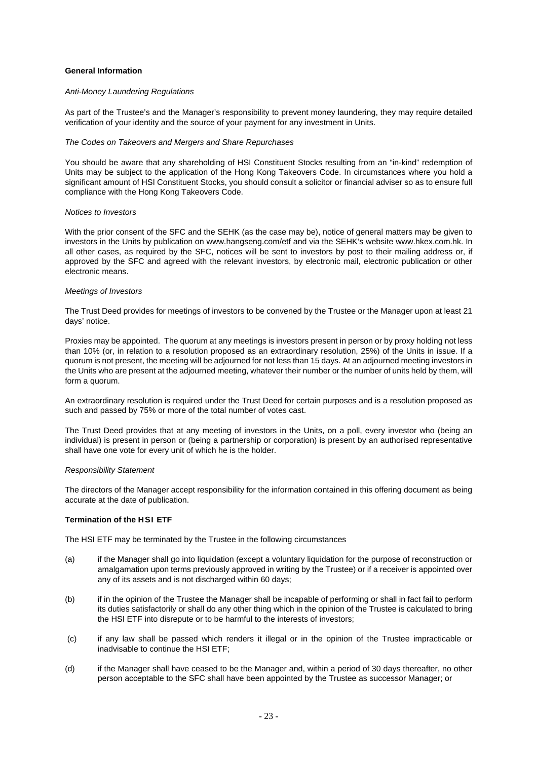#### **General Information**

#### *Anti-Money Laundering Regulations*

As part of the Trustee's and the Manager's responsibility to prevent money laundering, they may require detailed verification of your identity and the source of your payment for any investment in Units.

#### *The Codes on Takeovers and Mergers and Share Repurchases*

You should be aware that any shareholding of HSI Constituent Stocks resulting from an "in-kind" redemption of Units may be subject to the application of the Hong Kong Takeovers Code. In circumstances where you hold a significant amount of HSI Constituent Stocks, you should consult a solicitor or financial adviser so as to ensure full compliance with the Hong Kong Takeovers Code.

#### *Notices to Investors*

With the prior consent of the SFC and the SEHK (as the case may be), notice of general matters may be given to investors in the Units by publication on www.hangseng.com/etf and via the SEHK's website www.hkex.com.hk. In all other cases, as required by the SFC, notices will be sent to investors by post to their mailing address or, if approved by the SFC and agreed with the relevant investors, by electronic mail, electronic publication or other electronic means.

#### *Meetings of Investors*

The Trust Deed provides for meetings of investors to be convened by the Trustee or the Manager upon at least 21 days' notice.

Proxies may be appointed. The quorum at any meetings is investors present in person or by proxy holding not less than 10% (or, in relation to a resolution proposed as an extraordinary resolution, 25%) of the Units in issue. If a quorum is not present, the meeting will be adjourned for not less than 15 days. At an adjourned meeting investors in the Units who are present at the adjourned meeting, whatever their number or the number of units held by them, will form a quorum.

An extraordinary resolution is required under the Trust Deed for certain purposes and is a resolution proposed as such and passed by 75% or more of the total number of votes cast.

The Trust Deed provides that at any meeting of investors in the Units, on a poll, every investor who (being an individual) is present in person or (being a partnership or corporation) is present by an authorised representative shall have one vote for every unit of which he is the holder.

#### *Responsibility Statement*

The directors of the Manager accept responsibility for the information contained in this offering document as being accurate at the date of publication.

#### **Termination of the HSI ETF**

The HSI ETF may be terminated by the Trustee in the following circumstances

- (a) if the Manager shall go into liquidation (except a voluntary liquidation for the purpose of reconstruction or amalgamation upon terms previously approved in writing by the Trustee) or if a receiver is appointed over any of its assets and is not discharged within 60 days;
- (b) if in the opinion of the Trustee the Manager shall be incapable of performing or shall in fact fail to perform its duties satisfactorily or shall do any other thing which in the opinion of the Trustee is calculated to bring the HSI ETF into disrepute or to be harmful to the interests of investors;
- (c) if any law shall be passed which renders it illegal or in the opinion of the Trustee impracticable or inadvisable to continue the HSI ETF;
- (d) if the Manager shall have ceased to be the Manager and, within a period of 30 days thereafter, no other person acceptable to the SFC shall have been appointed by the Trustee as successor Manager; or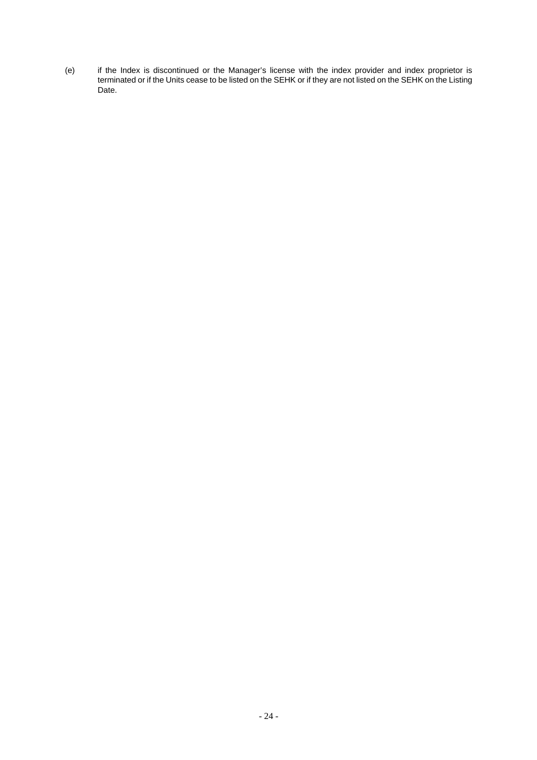(e) if the Index is discontinued or the Manager's license with the index provider and index proprietor is terminated or if the Units cease to be listed on the SEHK or if they are not listed on the SEHK on the Listing Date.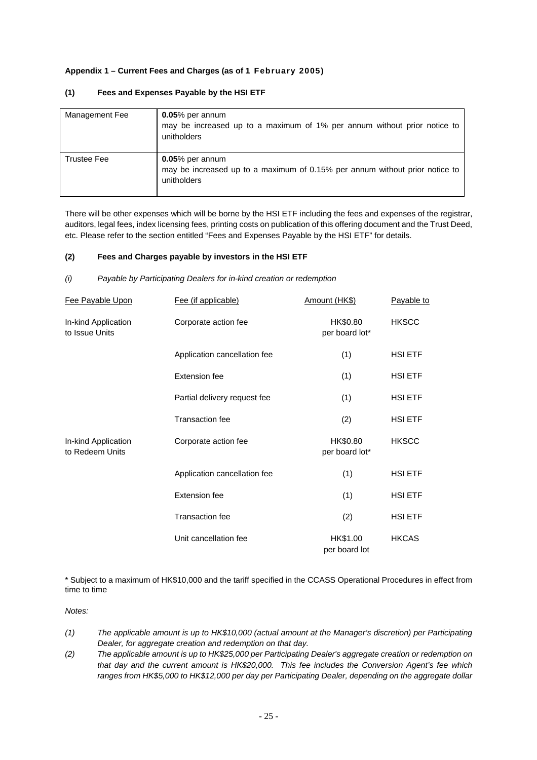# **Appendix 1 – Current Fees and Charges (as of 1 February 2005)**

| Management Fee | $0.05\%$ per annum<br>may be increased up to a maximum of 1% per annum without prior notice to<br>unitholders    |
|----------------|------------------------------------------------------------------------------------------------------------------|
| Trustee Fee    | $0.05\%$ per annum<br>may be increased up to a maximum of 0.15% per annum without prior notice to<br>unitholders |

# **(1) Fees and Expenses Payable by the HSI ETF**

There will be other expenses which will be borne by the HSI ETF including the fees and expenses of the registrar, auditors, legal fees, index licensing fees, printing costs on publication of this offering document and the Trust Deed, etc. Please refer to the section entitled "Fees and Expenses Payable by the HSI ETF" for details.

# **(2) Fees and Charges payable by investors in the HSI ETF**

*(i) Payable by Participating Dealers for in-kind creation or redemption* 

| Fee Payable Upon                       | Fee (if applicable)          | Amount (HK\$)              | Payable to     |
|----------------------------------------|------------------------------|----------------------------|----------------|
| In-kind Application<br>to Issue Units  | Corporate action fee         | HK\$0.80<br>per board lot* | <b>HKSCC</b>   |
|                                        | Application cancellation fee | (1)                        | HSI ETF        |
|                                        | Extension fee                | (1)                        | HSI ETF        |
|                                        | Partial delivery request fee | (1)                        | HSI ETF        |
|                                        | Transaction fee              | (2)                        | HSI ETF        |
| In-kind Application<br>to Redeem Units | Corporate action fee         | HK\$0.80<br>per board lot* | <b>HKSCC</b>   |
|                                        | Application cancellation fee | (1)                        | <b>HSI ETF</b> |
|                                        | Extension fee                | (1)                        | HSI ETF        |
|                                        | <b>Transaction fee</b>       | (2)                        | HSI ETF        |
|                                        | Unit cancellation fee        | HK\$1.00<br>per board lot  | <b>HKCAS</b>   |

\* Subject to a maximum of HK\$10,000 and the tariff specified in the CCASS Operational Procedures in effect from time to time

*Notes:* 

- *(1) The applicable amount is up to HK\$10,000 (actual amount at the Manager's discretion) per Participating Dealer, for aggregate creation and redemption on that day.*
- *(2) The applicable amount is up to HK\$25,000 per Participating Dealer's aggregate creation or redemption on that day and the current amount is HK\$20,000. This fee includes the Conversion Agent's fee which ranges from HK\$5,000 to HK\$12,000 per day per Participating Dealer, depending on the aggregate dollar*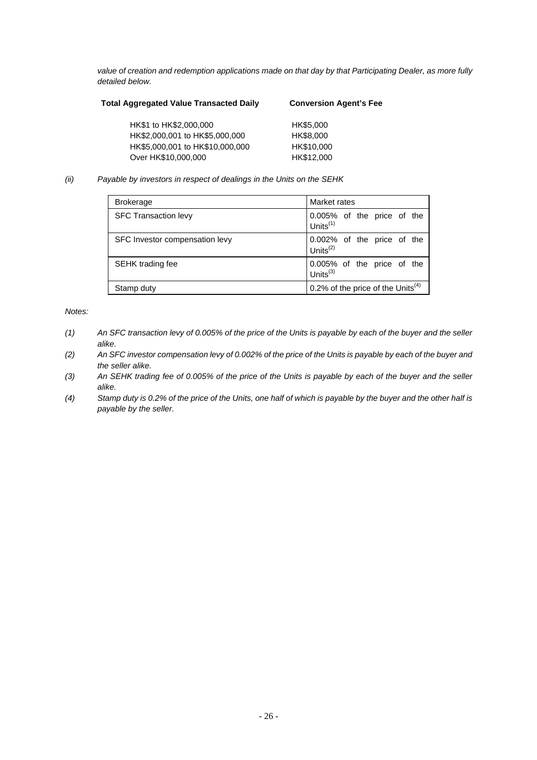*value of creation and redemption applications made on that day by that Participating Dealer, as more fully detailed below.* 

| <b>Total Aggregated Value Transacted Daily</b> | <b>Conversion Agent's Fee</b> |  |  |
|------------------------------------------------|-------------------------------|--|--|
| HK\$1 to HK\$2,000,000                         | HK\$5,000                     |  |  |
| HK\$2,000,001 to HK\$5,000,000                 | HK\$8,000                     |  |  |
| HK\$5,000,001 to HK\$10,000,000                | HK\$10,000                    |  |  |
| Over HK\$10,000,000                            | HK\$12,000                    |  |  |

*(ii) Payable by investors in respect of dealings in the Units on the SEHK* 

| <b>Brokerage</b>               | Market rates                                 |
|--------------------------------|----------------------------------------------|
| <b>SFC Transaction levy</b>    | 0.005% of the price of the<br>Units $(1)$    |
| SFC Investor compensation levy | 0.002% of the price of the<br>Units $(2)$    |
| <b>SEHK</b> trading fee        | 0.005% of the price of the<br>Units $^{(3)}$ |
| Stamp duty                     | 0.2% of the price of the Units $(4)$         |

*Notes:* 

- *(1) An SFC transaction levy of 0.005% of the price of the Units is payable by each of the buyer and the seller alike.*
- *(2) An SFC investor compensation levy of 0.002% of the price of the Units is payable by each of the buyer and the seller alike.*
- *(3) An SEHK trading fee of 0.005% of the price of the Units is payable by each of the buyer and the seller alike.*
- *(4) Stamp duty is 0.2% of the price of the Units, one half of which is payable by the buyer and the other half is payable by the seller.*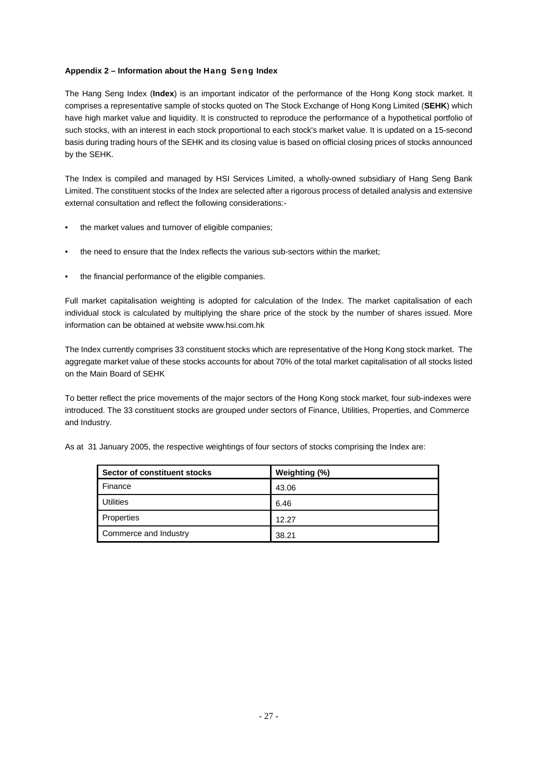# **Appendix 2 – Information about the Hang Seng Index**

The Hang Seng Index (**Index**) is an important indicator of the performance of the Hong Kong stock market. It comprises a representative sample of stocks quoted on The Stock Exchange of Hong Kong Limited (**SEHK**) which have high market value and liquidity. It is constructed to reproduce the performance of a hypothetical portfolio of such stocks, with an interest in each stock proportional to each stock's market value. It is updated on a 15-second basis during trading hours of the SEHK and its closing value is based on official closing prices of stocks announced by the SEHK.

The Index is compiled and managed by HSI Services Limited, a wholly-owned subsidiary of Hang Seng Bank Limited. The constituent stocks of the Index are selected after a rigorous process of detailed analysis and extensive external consultation and reflect the following considerations:-

- the market values and turnover of eligible companies;
- the need to ensure that the Index reflects the various sub-sectors within the market;
- the financial performance of the eligible companies.

Full market capitalisation weighting is adopted for calculation of the Index. The market capitalisation of each individual stock is calculated by multiplying the share price of the stock by the number of shares issued. More information can be obtained at website www.hsi.com.hk

The Index currently comprises 33 constituent stocks which are representative of the Hong Kong stock market. The aggregate market value of these stocks accounts for about 70% of the total market capitalisation of all stocks listed on the Main Board of SEHK

To better reflect the price movements of the major sectors of the Hong Kong stock market, four sub-indexes were introduced. The 33 constituent stocks are grouped under sectors of Finance, Utilities, Properties, and Commerce and Industry.

|  |  |  |  |  |  |  |  |  | As at 31 January 2005, the respective weightings of four sectors of stocks comprising the Index are: |  |
|--|--|--|--|--|--|--|--|--|------------------------------------------------------------------------------------------------------|--|
|--|--|--|--|--|--|--|--|--|------------------------------------------------------------------------------------------------------|--|

| Sector of constituent stocks | Weighting (%) |
|------------------------------|---------------|
| Finance                      | 43.06         |
| <b>Utilities</b>             | 6.46          |
| Properties                   | 12.27         |
| Commerce and Industry        | 38.21         |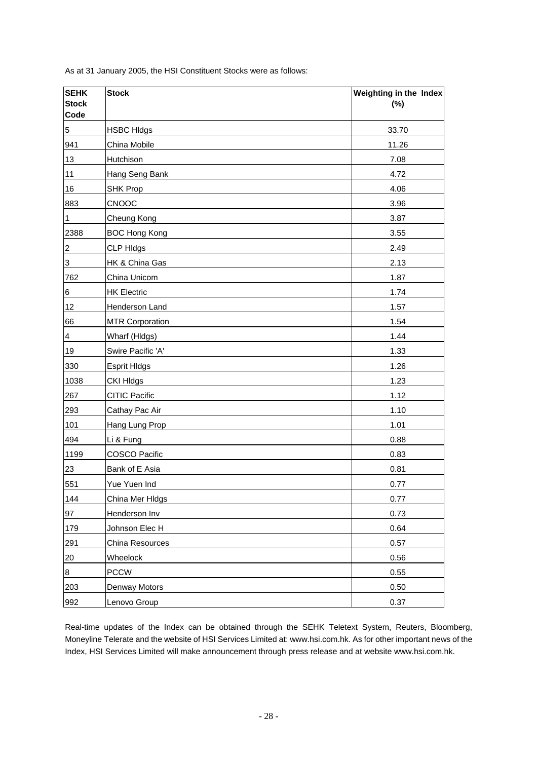| <b>SEHK</b><br><b>Stock</b><br>Code | <b>Stock</b>           | Weighting in the Index<br>$(\%)$ |
|-------------------------------------|------------------------|----------------------------------|
| $\sqrt{5}$                          | <b>HSBC HIdgs</b>      | 33.70                            |
| 941                                 | China Mobile           | 11.26                            |
| 13                                  | Hutchison              | 7.08                             |
| 11                                  | Hang Seng Bank         | 4.72                             |
| 16                                  | SHK Prop               | 4.06                             |
| 883                                 | <b>CNOOC</b>           | 3.96                             |
| $\overline{1}$                      | Cheung Kong            | 3.87                             |
| 2388                                | <b>BOC Hong Kong</b>   | 3.55                             |
| $\overline{2}$                      | <b>CLP HIdgs</b>       | 2.49                             |
| $\overline{3}$                      | HK & China Gas         | 2.13                             |
| 762                                 | China Unicom           | 1.87                             |
| $6\phantom{.0}$                     | <b>HK Electric</b>     | 1.74                             |
| 12                                  | Henderson Land         | 1.57                             |
| 66                                  | <b>MTR Corporation</b> | 1.54                             |
| $\overline{\mathbf{r}}$             | Wharf (HIdgs)          | 1.44                             |
| 19                                  | Swire Pacific 'A'      | 1.33                             |
| 330                                 | <b>Esprit HIdgs</b>    | 1.26                             |
| 1038                                | <b>CKI HIdgs</b>       | 1.23                             |
| 267                                 | <b>CITIC Pacific</b>   | 1.12                             |
| 293                                 | Cathay Pac Air         | 1.10                             |
| 101                                 | Hang Lung Prop         | 1.01                             |
| 494                                 | Li & Fung              | 0.88                             |
| 1199                                | COSCO Pacific          | 0.83                             |
| 23                                  | Bank of E Asia         | 0.81                             |
| 551                                 | Yue Yuen Ind           | 0.77                             |
| 144                                 | China Mer Hldgs        | 0.77                             |
| 97                                  | Henderson Inv          | 0.73                             |
| 179                                 | Johnson Elec H         | 0.64                             |
| 291                                 | China Resources        | 0.57                             |
| $\overline{20}$                     | Wheelock               | 0.56                             |
| $\overline{8}$                      | <b>PCCW</b>            | 0.55                             |
| 203                                 | Denway Motors          | 0.50                             |
| 992                                 | Lenovo Group           | 0.37                             |

As at 31 January 2005, the HSI Constituent Stocks were as follows:

Real-time updates of the Index can be obtained through the SEHK Teletext System, Reuters, Bloomberg, Moneyline Telerate and the website of HSI Services Limited at: www.hsi.com.hk. As for other important news of the Index, HSI Services Limited will make announcement through press release and at website www.hsi.com.hk.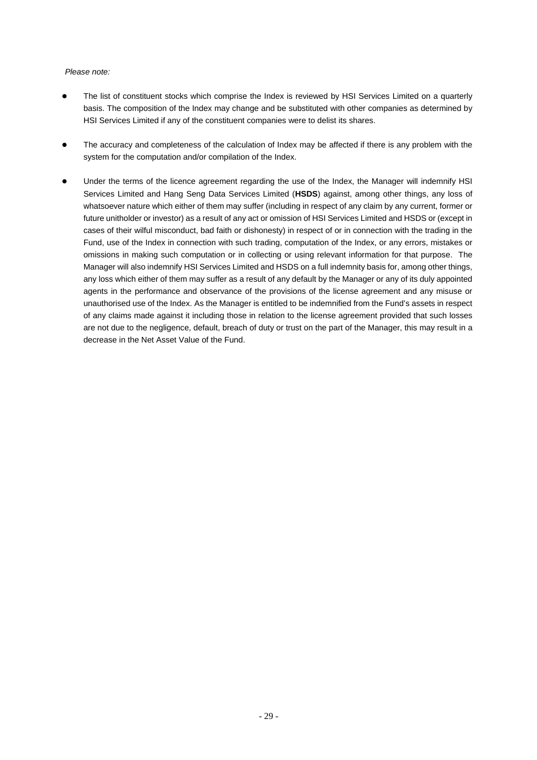# *Please note:*

- The list of constituent stocks which comprise the Index is reviewed by HSI Services Limited on a quarterly basis. The composition of the Index may change and be substituted with other companies as determined by HSI Services Limited if any of the constituent companies were to delist its shares.
- The accuracy and completeness of the calculation of Index may be affected if there is any problem with the system for the computation and/or compilation of the Index.
- Under the terms of the licence agreement regarding the use of the Index, the Manager will indemnify HSI Services Limited and Hang Seng Data Services Limited (**HSDS**) against, among other things, any loss of whatsoever nature which either of them may suffer (including in respect of any claim by any current, former or future unitholder or investor) as a result of any act or omission of HSI Services Limited and HSDS or (except in cases of their wilful misconduct, bad faith or dishonesty) in respect of or in connection with the trading in the Fund, use of the Index in connection with such trading, computation of the Index, or any errors, mistakes or omissions in making such computation or in collecting or using relevant information for that purpose. The Manager will also indemnify HSI Services Limited and HSDS on a full indemnity basis for, among other things, any loss which either of them may suffer as a result of any default by the Manager or any of its duly appointed agents in the performance and observance of the provisions of the license agreement and any misuse or unauthorised use of the Index. As the Manager is entitled to be indemnified from the Fund's assets in respect of any claims made against it including those in relation to the license agreement provided that such losses are not due to the negligence, default, breach of duty or trust on the part of the Manager, this may result in a decrease in the Net Asset Value of the Fund.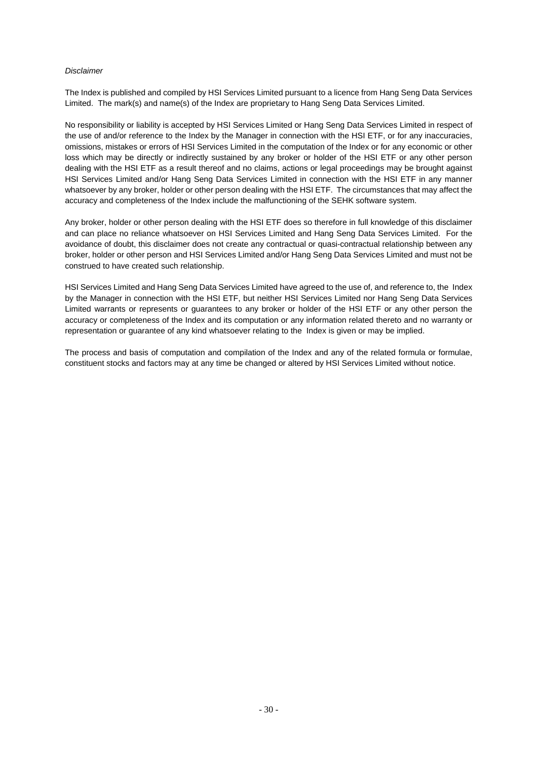# *Disclaimer*

The Index is published and compiled by HSI Services Limited pursuant to a licence from Hang Seng Data Services Limited. The mark(s) and name(s) of the Index are proprietary to Hang Seng Data Services Limited.

No responsibility or liability is accepted by HSI Services Limited or Hang Seng Data Services Limited in respect of the use of and/or reference to the Index by the Manager in connection with the HSI ETF, or for any inaccuracies, omissions, mistakes or errors of HSI Services Limited in the computation of the Index or for any economic or other loss which may be directly or indirectly sustained by any broker or holder of the HSI ETF or any other person dealing with the HSI ETF as a result thereof and no claims, actions or legal proceedings may be brought against HSI Services Limited and/or Hang Seng Data Services Limited in connection with the HSI ETF in any manner whatsoever by any broker, holder or other person dealing with the HSI ETF. The circumstances that may affect the accuracy and completeness of the Index include the malfunctioning of the SEHK software system.

Any broker, holder or other person dealing with the HSI ETF does so therefore in full knowledge of this disclaimer and can place no reliance whatsoever on HSI Services Limited and Hang Seng Data Services Limited. For the avoidance of doubt, this disclaimer does not create any contractual or quasi-contractual relationship between any broker, holder or other person and HSI Services Limited and/or Hang Seng Data Services Limited and must not be construed to have created such relationship.

HSI Services Limited and Hang Seng Data Services Limited have agreed to the use of, and reference to, the Index by the Manager in connection with the HSI ETF, but neither HSI Services Limited nor Hang Seng Data Services Limited warrants or represents or guarantees to any broker or holder of the HSI ETF or any other person the accuracy or completeness of the Index and its computation or any information related thereto and no warranty or representation or guarantee of any kind whatsoever relating to the Index is given or may be implied.

The process and basis of computation and compilation of the Index and any of the related formula or formulae, constituent stocks and factors may at any time be changed or altered by HSI Services Limited without notice.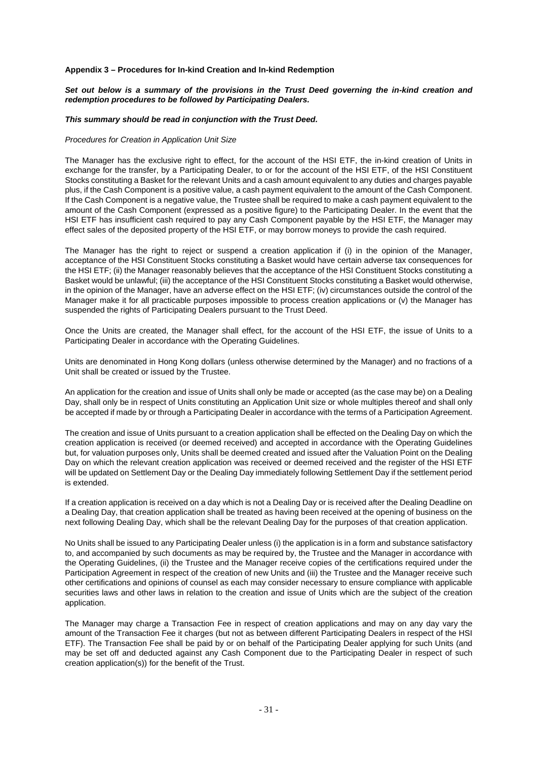#### **Appendix 3 – Procedures for In-kind Creation and In-kind Redemption**

#### Set out below is a summary of the provisions in the Trust Deed governing the in-kind creation and *redemption procedures to be followed by Participating Dealers.*

#### *This summary should be read in conjunction with the Trust Deed.*

#### *Procedures for Creation in Application Unit Size*

The Manager has the exclusive right to effect, for the account of the HSI ETF, the in-kind creation of Units in exchange for the transfer, by a Participating Dealer, to or for the account of the HSI ETF, of the HSI Constituent Stocks constituting a Basket for the relevant Units and a cash amount equivalent to any duties and charges payable plus, if the Cash Component is a positive value, a cash payment equivalent to the amount of the Cash Component. If the Cash Component is a negative value, the Trustee shall be required to make a cash payment equivalent to the amount of the Cash Component (expressed as a positive figure) to the Participating Dealer. In the event that the HSI ETF has insufficient cash required to pay any Cash Component payable by the HSI ETF, the Manager may effect sales of the deposited property of the HSI ETF, or may borrow moneys to provide the cash required.

The Manager has the right to reject or suspend a creation application if (i) in the opinion of the Manager, acceptance of the HSI Constituent Stocks constituting a Basket would have certain adverse tax consequences for the HSI ETF; (ii) the Manager reasonably believes that the acceptance of the HSI Constituent Stocks constituting a Basket would be unlawful; (iii) the acceptance of the HSI Constituent Stocks constituting a Basket would otherwise, in the opinion of the Manager, have an adverse effect on the HSI ETF; (iv) circumstances outside the control of the Manager make it for all practicable purposes impossible to process creation applications or (v) the Manager has suspended the rights of Participating Dealers pursuant to the Trust Deed.

Once the Units are created, the Manager shall effect, for the account of the HSI ETF, the issue of Units to a Participating Dealer in accordance with the Operating Guidelines.

Units are denominated in Hong Kong dollars (unless otherwise determined by the Manager) and no fractions of a Unit shall be created or issued by the Trustee.

An application for the creation and issue of Units shall only be made or accepted (as the case may be) on a Dealing Day, shall only be in respect of Units constituting an Application Unit size or whole multiples thereof and shall only be accepted if made by or through a Participating Dealer in accordance with the terms of a Participation Agreement.

The creation and issue of Units pursuant to a creation application shall be effected on the Dealing Day on which the creation application is received (or deemed received) and accepted in accordance with the Operating Guidelines but, for valuation purposes only, Units shall be deemed created and issued after the Valuation Point on the Dealing Day on which the relevant creation application was received or deemed received and the register of the HSI ETF will be updated on Settlement Day or the Dealing Day immediately following Settlement Day if the settlement period is extended.

If a creation application is received on a day which is not a Dealing Day or is received after the Dealing Deadline on a Dealing Day, that creation application shall be treated as having been received at the opening of business on the next following Dealing Day, which shall be the relevant Dealing Day for the purposes of that creation application.

No Units shall be issued to any Participating Dealer unless (i) the application is in a form and substance satisfactory to, and accompanied by such documents as may be required by, the Trustee and the Manager in accordance with the Operating Guidelines, (ii) the Trustee and the Manager receive copies of the certifications required under the Participation Agreement in respect of the creation of new Units and (iii) the Trustee and the Manager receive such other certifications and opinions of counsel as each may consider necessary to ensure compliance with applicable securities laws and other laws in relation to the creation and issue of Units which are the subject of the creation application.

The Manager may charge a Transaction Fee in respect of creation applications and may on any day vary the amount of the Transaction Fee it charges (but not as between different Participating Dealers in respect of the HSI ETF). The Transaction Fee shall be paid by or on behalf of the Participating Dealer applying for such Units (and may be set off and deducted against any Cash Component due to the Participating Dealer in respect of such creation application(s)) for the benefit of the Trust.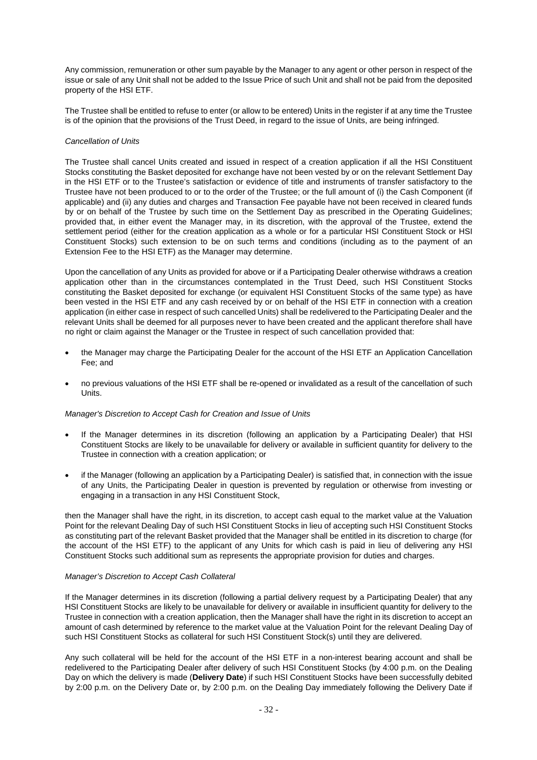Any commission, remuneration or other sum payable by the Manager to any agent or other person in respect of the issue or sale of any Unit shall not be added to the Issue Price of such Unit and shall not be paid from the deposited property of the HSI ETF.

The Trustee shall be entitled to refuse to enter (or allow to be entered) Units in the register if at any time the Trustee is of the opinion that the provisions of the Trust Deed, in regard to the issue of Units, are being infringed.

#### *Cancellation of Units*

The Trustee shall cancel Units created and issued in respect of a creation application if all the HSI Constituent Stocks constituting the Basket deposited for exchange have not been vested by or on the relevant Settlement Day in the HSI ETF or to the Trustee's satisfaction or evidence of title and instruments of transfer satisfactory to the Trustee have not been produced to or to the order of the Trustee; or the full amount of (i) the Cash Component (if applicable) and (ii) any duties and charges and Transaction Fee payable have not been received in cleared funds by or on behalf of the Trustee by such time on the Settlement Day as prescribed in the Operating Guidelines; provided that, in either event the Manager may, in its discretion, with the approval of the Trustee, extend the settlement period (either for the creation application as a whole or for a particular HSI Constituent Stock or HSI Constituent Stocks) such extension to be on such terms and conditions (including as to the payment of an Extension Fee to the HSI ETF) as the Manager may determine.

Upon the cancellation of any Units as provided for above or if a Participating Dealer otherwise withdraws a creation application other than in the circumstances contemplated in the Trust Deed, such HSI Constituent Stocks constituting the Basket deposited for exchange (or equivalent HSI Constituent Stocks of the same type) as have been vested in the HSI ETF and any cash received by or on behalf of the HSI ETF in connection with a creation application (in either case in respect of such cancelled Units) shall be redelivered to the Participating Dealer and the relevant Units shall be deemed for all purposes never to have been created and the applicant therefore shall have no right or claim against the Manager or the Trustee in respect of such cancellation provided that:

- the Manager may charge the Participating Dealer for the account of the HSI ETF an Application Cancellation Fee; and
- no previous valuations of the HSI ETF shall be re-opened or invalidated as a result of the cancellation of such Units.

#### *Manager's Discretion to Accept Cash for Creation and Issue of Units*

- If the Manager determines in its discretion (following an application by a Participating Dealer) that HSI Constituent Stocks are likely to be unavailable for delivery or available in sufficient quantity for delivery to the Trustee in connection with a creation application; or
- if the Manager (following an application by a Participating Dealer) is satisfied that, in connection with the issue of any Units, the Participating Dealer in question is prevented by regulation or otherwise from investing or engaging in a transaction in any HSI Constituent Stock,

then the Manager shall have the right, in its discretion, to accept cash equal to the market value at the Valuation Point for the relevant Dealing Day of such HSI Constituent Stocks in lieu of accepting such HSI Constituent Stocks as constituting part of the relevant Basket provided that the Manager shall be entitled in its discretion to charge (for the account of the HSI ETF) to the applicant of any Units for which cash is paid in lieu of delivering any HSI Constituent Stocks such additional sum as represents the appropriate provision for duties and charges.

#### *Manager's Discretion to Accept Cash Collateral*

If the Manager determines in its discretion (following a partial delivery request by a Participating Dealer) that any HSI Constituent Stocks are likely to be unavailable for delivery or available in insufficient quantity for delivery to the Trustee in connection with a creation application, then the Manager shall have the right in its discretion to accept an amount of cash determined by reference to the market value at the Valuation Point for the relevant Dealing Day of such HSI Constituent Stocks as collateral for such HSI Constituent Stock(s) until they are delivered.

Any such collateral will be held for the account of the HSI ETF in a non-interest bearing account and shall be redelivered to the Participating Dealer after delivery of such HSI Constituent Stocks (by 4:00 p.m. on the Dealing Day on which the delivery is made (**Delivery Date**) if such HSI Constituent Stocks have been successfully debited by 2:00 p.m. on the Delivery Date or, by 2:00 p.m. on the Dealing Day immediately following the Delivery Date if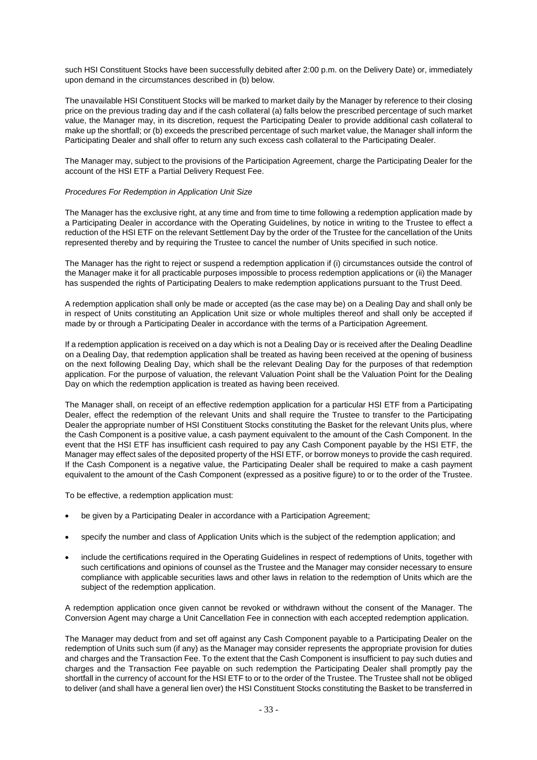such HSI Constituent Stocks have been successfully debited after 2:00 p.m. on the Delivery Date) or, immediately upon demand in the circumstances described in (b) below.

The unavailable HSI Constituent Stocks will be marked to market daily by the Manager by reference to their closing price on the previous trading day and if the cash collateral (a) falls below the prescribed percentage of such market value, the Manager may, in its discretion, request the Participating Dealer to provide additional cash collateral to make up the shortfall; or (b) exceeds the prescribed percentage of such market value, the Manager shall inform the Participating Dealer and shall offer to return any such excess cash collateral to the Participating Dealer.

The Manager may, subject to the provisions of the Participation Agreement, charge the Participating Dealer for the account of the HSI ETF a Partial Delivery Request Fee.

#### *Procedures For Redemption in Application Unit Size*

The Manager has the exclusive right, at any time and from time to time following a redemption application made by a Participating Dealer in accordance with the Operating Guidelines, by notice in writing to the Trustee to effect a reduction of the HSI ETF on the relevant Settlement Day by the order of the Trustee for the cancellation of the Units represented thereby and by requiring the Trustee to cancel the number of Units specified in such notice.

The Manager has the right to reject or suspend a redemption application if (i) circumstances outside the control of the Manager make it for all practicable purposes impossible to process redemption applications or (ii) the Manager has suspended the rights of Participating Dealers to make redemption applications pursuant to the Trust Deed.

A redemption application shall only be made or accepted (as the case may be) on a Dealing Day and shall only be in respect of Units constituting an Application Unit size or whole multiples thereof and shall only be accepted if made by or through a Participating Dealer in accordance with the terms of a Participation Agreement.

If a redemption application is received on a day which is not a Dealing Day or is received after the Dealing Deadline on a Dealing Day, that redemption application shall be treated as having been received at the opening of business on the next following Dealing Day, which shall be the relevant Dealing Day for the purposes of that redemption application. For the purpose of valuation, the relevant Valuation Point shall be the Valuation Point for the Dealing Day on which the redemption application is treated as having been received.

The Manager shall, on receipt of an effective redemption application for a particular HSI ETF from a Participating Dealer, effect the redemption of the relevant Units and shall require the Trustee to transfer to the Participating Dealer the appropriate number of HSI Constituent Stocks constituting the Basket for the relevant Units plus, where the Cash Component is a positive value, a cash payment equivalent to the amount of the Cash Component. In the event that the HSI ETF has insufficient cash required to pay any Cash Component payable by the HSI ETF, the Manager may effect sales of the deposited property of the HSI ETF, or borrow moneys to provide the cash required. If the Cash Component is a negative value, the Participating Dealer shall be required to make a cash payment equivalent to the amount of the Cash Component (expressed as a positive figure) to or to the order of the Trustee.

To be effective, a redemption application must:

- be given by a Participating Dealer in accordance with a Participation Agreement;
- specify the number and class of Application Units which is the subject of the redemption application; and
- include the certifications required in the Operating Guidelines in respect of redemptions of Units, together with such certifications and opinions of counsel as the Trustee and the Manager may consider necessary to ensure compliance with applicable securities laws and other laws in relation to the redemption of Units which are the subject of the redemption application.

A redemption application once given cannot be revoked or withdrawn without the consent of the Manager. The Conversion Agent may charge a Unit Cancellation Fee in connection with each accepted redemption application.

The Manager may deduct from and set off against any Cash Component payable to a Participating Dealer on the redemption of Units such sum (if any) as the Manager may consider represents the appropriate provision for duties and charges and the Transaction Fee. To the extent that the Cash Component is insufficient to pay such duties and charges and the Transaction Fee payable on such redemption the Participating Dealer shall promptly pay the shortfall in the currency of account for the HSI ETF to or to the order of the Trustee. The Trustee shall not be obliged to deliver (and shall have a general lien over) the HSI Constituent Stocks constituting the Basket to be transferred in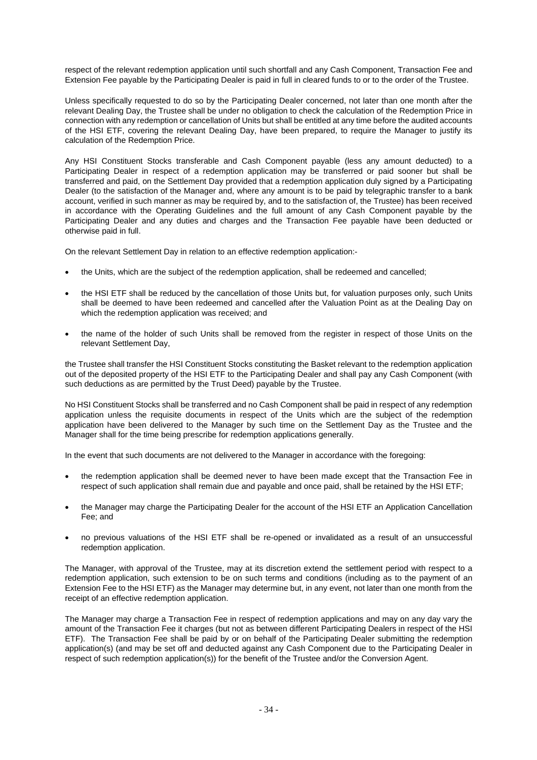respect of the relevant redemption application until such shortfall and any Cash Component, Transaction Fee and Extension Fee payable by the Participating Dealer is paid in full in cleared funds to or to the order of the Trustee.

Unless specifically requested to do so by the Participating Dealer concerned, not later than one month after the relevant Dealing Day, the Trustee shall be under no obligation to check the calculation of the Redemption Price in connection with any redemption or cancellation of Units but shall be entitled at any time before the audited accounts of the HSI ETF, covering the relevant Dealing Day, have been prepared, to require the Manager to justify its calculation of the Redemption Price.

Any HSI Constituent Stocks transferable and Cash Component payable (less any amount deducted) to a Participating Dealer in respect of a redemption application may be transferred or paid sooner but shall be transferred and paid, on the Settlement Day provided that a redemption application duly signed by a Participating Dealer (to the satisfaction of the Manager and, where any amount is to be paid by telegraphic transfer to a bank account, verified in such manner as may be required by, and to the satisfaction of, the Trustee) has been received in accordance with the Operating Guidelines and the full amount of any Cash Component payable by the Participating Dealer and any duties and charges and the Transaction Fee payable have been deducted or otherwise paid in full.

On the relevant Settlement Day in relation to an effective redemption application:-

- the Units, which are the subject of the redemption application, shall be redeemed and cancelled;
- the HSI ETF shall be reduced by the cancellation of those Units but, for valuation purposes only, such Units shall be deemed to have been redeemed and cancelled after the Valuation Point as at the Dealing Day on which the redemption application was received; and
- the name of the holder of such Units shall be removed from the register in respect of those Units on the relevant Settlement Day,

the Trustee shall transfer the HSI Constituent Stocks constituting the Basket relevant to the redemption application out of the deposited property of the HSI ETF to the Participating Dealer and shall pay any Cash Component (with such deductions as are permitted by the Trust Deed) payable by the Trustee.

No HSI Constituent Stocks shall be transferred and no Cash Component shall be paid in respect of any redemption application unless the requisite documents in respect of the Units which are the subject of the redemption application have been delivered to the Manager by such time on the Settlement Day as the Trustee and the Manager shall for the time being prescribe for redemption applications generally.

In the event that such documents are not delivered to the Manager in accordance with the foregoing:

- the redemption application shall be deemed never to have been made except that the Transaction Fee in respect of such application shall remain due and payable and once paid, shall be retained by the HSI ETF;
- the Manager may charge the Participating Dealer for the account of the HSI ETF an Application Cancellation Fee; and
- no previous valuations of the HSI ETF shall be re-opened or invalidated as a result of an unsuccessful redemption application.

The Manager, with approval of the Trustee, may at its discretion extend the settlement period with respect to a redemption application, such extension to be on such terms and conditions (including as to the payment of an Extension Fee to the HSI ETF) as the Manager may determine but, in any event, not later than one month from the receipt of an effective redemption application.

The Manager may charge a Transaction Fee in respect of redemption applications and may on any day vary the amount of the Transaction Fee it charges (but not as between different Participating Dealers in respect of the HSI ETF). The Transaction Fee shall be paid by or on behalf of the Participating Dealer submitting the redemption application(s) (and may be set off and deducted against any Cash Component due to the Participating Dealer in respect of such redemption application(s)) for the benefit of the Trustee and/or the Conversion Agent.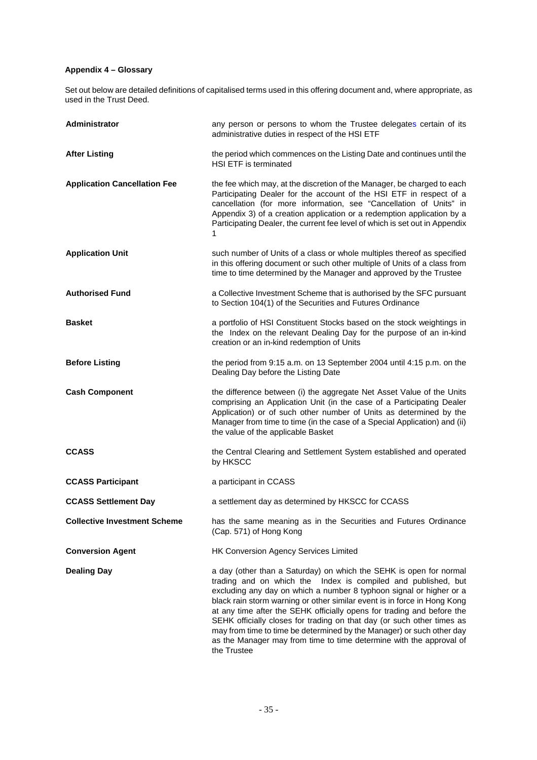# **Appendix 4 – Glossary**

Set out below are detailed definitions of capitalised terms used in this offering document and, where appropriate, as used in the Trust Deed.

| Administrator                       | any person or persons to whom the Trustee delegates certain of its<br>administrative duties in respect of the HSI ETF                                                                                                                                                                                                                                                                                                                                                                                                                                                                                     |  |
|-------------------------------------|-----------------------------------------------------------------------------------------------------------------------------------------------------------------------------------------------------------------------------------------------------------------------------------------------------------------------------------------------------------------------------------------------------------------------------------------------------------------------------------------------------------------------------------------------------------------------------------------------------------|--|
| <b>After Listing</b>                | the period which commences on the Listing Date and continues until the<br><b>HSI ETF</b> is terminated                                                                                                                                                                                                                                                                                                                                                                                                                                                                                                    |  |
| <b>Application Cancellation Fee</b> | the fee which may, at the discretion of the Manager, be charged to each<br>Participating Dealer for the account of the HSI ETF in respect of a<br>cancellation (for more information, see "Cancellation of Units" in<br>Appendix 3) of a creation application or a redemption application by a<br>Participating Dealer, the current fee level of which is set out in Appendix<br>1                                                                                                                                                                                                                        |  |
| <b>Application Unit</b>             | such number of Units of a class or whole multiples thereof as specified<br>in this offering document or such other multiple of Units of a class from<br>time to time determined by the Manager and approved by the Trustee                                                                                                                                                                                                                                                                                                                                                                                |  |
| <b>Authorised Fund</b>              | a Collective Investment Scheme that is authorised by the SFC pursuant<br>to Section 104(1) of the Securities and Futures Ordinance                                                                                                                                                                                                                                                                                                                                                                                                                                                                        |  |
| <b>Basket</b>                       | a portfolio of HSI Constituent Stocks based on the stock weightings in<br>the Index on the relevant Dealing Day for the purpose of an in-kind<br>creation or an in-kind redemption of Units                                                                                                                                                                                                                                                                                                                                                                                                               |  |
| <b>Before Listing</b>               | the period from 9:15 a.m. on 13 September 2004 until 4:15 p.m. on the<br>Dealing Day before the Listing Date                                                                                                                                                                                                                                                                                                                                                                                                                                                                                              |  |
| <b>Cash Component</b>               | the difference between (i) the aggregate Net Asset Value of the Units<br>comprising an Application Unit (in the case of a Participating Dealer<br>Application) or of such other number of Units as determined by the<br>Manager from time to time (in the case of a Special Application) and (ii)<br>the value of the applicable Basket                                                                                                                                                                                                                                                                   |  |
| <b>CCASS</b>                        | the Central Clearing and Settlement System established and operated<br>by HKSCC                                                                                                                                                                                                                                                                                                                                                                                                                                                                                                                           |  |
| <b>CCASS Participant</b>            | a participant in CCASS                                                                                                                                                                                                                                                                                                                                                                                                                                                                                                                                                                                    |  |
| <b>CCASS Settlement Day</b>         | a settlement day as determined by HKSCC for CCASS                                                                                                                                                                                                                                                                                                                                                                                                                                                                                                                                                         |  |
| <b>Collective Investment Scheme</b> | has the same meaning as in the Securities and Futures Ordinance<br>(Cap. 571) of Hong Kong                                                                                                                                                                                                                                                                                                                                                                                                                                                                                                                |  |
| <b>Conversion Agent</b>             | HK Conversion Agency Services Limited                                                                                                                                                                                                                                                                                                                                                                                                                                                                                                                                                                     |  |
| <b>Dealing Day</b>                  | a day (other than a Saturday) on which the SEHK is open for normal<br>trading and on which the Index is compiled and published, but<br>excluding any day on which a number 8 typhoon signal or higher or a<br>black rain storm warning or other similar event is in force in Hong Kong<br>at any time after the SEHK officially opens for trading and before the<br>SEHK officially closes for trading on that day (or such other times as<br>may from time to time be determined by the Manager) or such other day<br>as the Manager may from time to time determine with the approval of<br>the Trustee |  |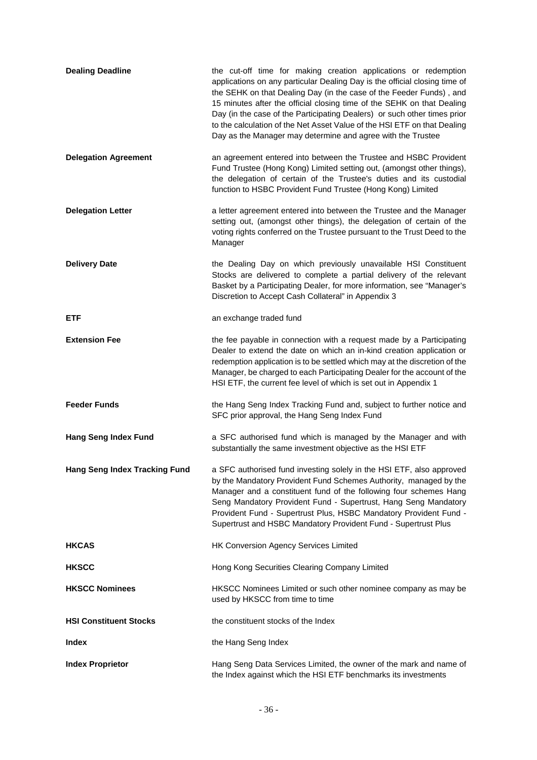| <b>Dealing Deadline</b>              | the cut-off time for making creation applications or redemption<br>applications on any particular Dealing Day is the official closing time of<br>the SEHK on that Dealing Day (in the case of the Feeder Funds), and<br>15 minutes after the official closing time of the SEHK on that Dealing<br>Day (in the case of the Participating Dealers) or such other times prior<br>to the calculation of the Net Asset Value of the HSI ETF on that Dealing<br>Day as the Manager may determine and agree with the Trustee |  |
|--------------------------------------|-----------------------------------------------------------------------------------------------------------------------------------------------------------------------------------------------------------------------------------------------------------------------------------------------------------------------------------------------------------------------------------------------------------------------------------------------------------------------------------------------------------------------|--|
| <b>Delegation Agreement</b>          | an agreement entered into between the Trustee and HSBC Provident<br>Fund Trustee (Hong Kong) Limited setting out, (amongst other things),<br>the delegation of certain of the Trustee's duties and its custodial<br>function to HSBC Provident Fund Trustee (Hong Kong) Limited                                                                                                                                                                                                                                       |  |
| <b>Delegation Letter</b>             | a letter agreement entered into between the Trustee and the Manager<br>setting out, (amongst other things), the delegation of certain of the<br>voting rights conferred on the Trustee pursuant to the Trust Deed to the<br>Manager                                                                                                                                                                                                                                                                                   |  |
| <b>Delivery Date</b>                 | the Dealing Day on which previously unavailable HSI Constituent<br>Stocks are delivered to complete a partial delivery of the relevant<br>Basket by a Participating Dealer, for more information, see "Manager's<br>Discretion to Accept Cash Collateral" in Appendix 3                                                                                                                                                                                                                                               |  |
| <b>ETF</b>                           | an exchange traded fund                                                                                                                                                                                                                                                                                                                                                                                                                                                                                               |  |
| <b>Extension Fee</b>                 | the fee payable in connection with a request made by a Participating<br>Dealer to extend the date on which an in-kind creation application or<br>redemption application is to be settled which may at the discretion of the<br>Manager, be charged to each Participating Dealer for the account of the<br>HSI ETF, the current fee level of which is set out in Appendix 1                                                                                                                                            |  |
| <b>Feeder Funds</b>                  | the Hang Seng Index Tracking Fund and, subject to further notice and<br>SFC prior approval, the Hang Seng Index Fund                                                                                                                                                                                                                                                                                                                                                                                                  |  |
| <b>Hang Seng Index Fund</b>          | a SFC authorised fund which is managed by the Manager and with<br>substantially the same investment objective as the HSI ETF                                                                                                                                                                                                                                                                                                                                                                                          |  |
| <b>Hang Seng Index Tracking Fund</b> | a SFC authorised fund investing solely in the HSI ETF, also approved<br>by the Mandatory Provident Fund Schemes Authority, managed by the<br>Manager and a constituent fund of the following four schemes Hang<br>Seng Mandatory Provident Fund - Supertrust, Hang Seng Mandatory<br>Provident Fund - Supertrust Plus, HSBC Mandatory Provident Fund -<br>Supertrust and HSBC Mandatory Provident Fund - Supertrust Plus                                                                                              |  |
| <b>HKCAS</b>                         | HK Conversion Agency Services Limited                                                                                                                                                                                                                                                                                                                                                                                                                                                                                 |  |
| <b>HKSCC</b>                         | Hong Kong Securities Clearing Company Limited                                                                                                                                                                                                                                                                                                                                                                                                                                                                         |  |
| <b>HKSCC Nominees</b>                | HKSCC Nominees Limited or such other nominee company as may be<br>used by HKSCC from time to time                                                                                                                                                                                                                                                                                                                                                                                                                     |  |
| <b>HSI Constituent Stocks</b>        | the constituent stocks of the Index                                                                                                                                                                                                                                                                                                                                                                                                                                                                                   |  |
| <b>Index</b>                         | the Hang Seng Index                                                                                                                                                                                                                                                                                                                                                                                                                                                                                                   |  |
| <b>Index Proprietor</b>              | Hang Seng Data Services Limited, the owner of the mark and name of<br>the Index against which the HSI ETF benchmarks its investments                                                                                                                                                                                                                                                                                                                                                                                  |  |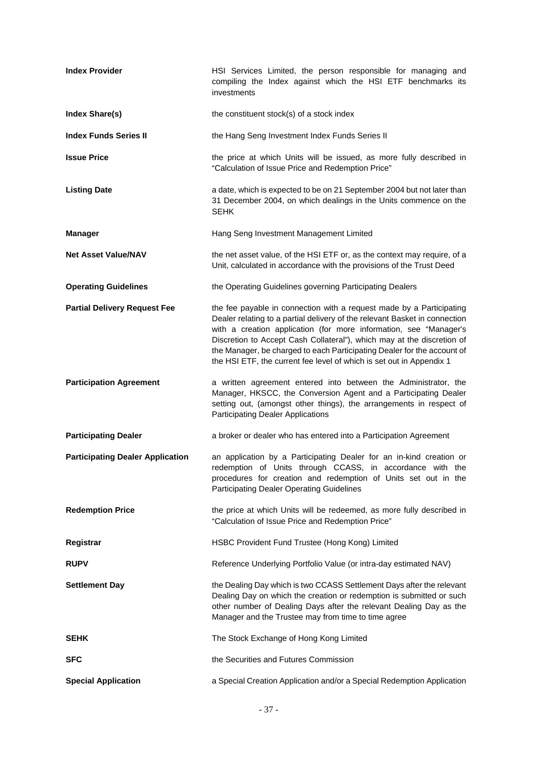| <b>Index Provider</b>                   | HSI Services Limited, the person responsible for managing and<br>compiling the Index against which the HSI ETF benchmarks its<br>investments                                                                                                                                                                                                                                                                                                         |
|-----------------------------------------|------------------------------------------------------------------------------------------------------------------------------------------------------------------------------------------------------------------------------------------------------------------------------------------------------------------------------------------------------------------------------------------------------------------------------------------------------|
| Index Share(s)                          | the constituent stock(s) of a stock index                                                                                                                                                                                                                                                                                                                                                                                                            |
| <b>Index Funds Series II</b>            | the Hang Seng Investment Index Funds Series II                                                                                                                                                                                                                                                                                                                                                                                                       |
| <b>Issue Price</b>                      | the price at which Units will be issued, as more fully described in<br>"Calculation of Issue Price and Redemption Price"                                                                                                                                                                                                                                                                                                                             |
| <b>Listing Date</b>                     | a date, which is expected to be on 21 September 2004 but not later than<br>31 December 2004, on which dealings in the Units commence on the<br><b>SEHK</b>                                                                                                                                                                                                                                                                                           |
| <b>Manager</b>                          | Hang Seng Investment Management Limited                                                                                                                                                                                                                                                                                                                                                                                                              |
| <b>Net Asset Value/NAV</b>              | the net asset value, of the HSI ETF or, as the context may require, of a<br>Unit, calculated in accordance with the provisions of the Trust Deed                                                                                                                                                                                                                                                                                                     |
| <b>Operating Guidelines</b>             | the Operating Guidelines governing Participating Dealers                                                                                                                                                                                                                                                                                                                                                                                             |
| <b>Partial Delivery Request Fee</b>     | the fee payable in connection with a request made by a Participating<br>Dealer relating to a partial delivery of the relevant Basket in connection<br>with a creation application (for more information, see "Manager's<br>Discretion to Accept Cash Collateral"), which may at the discretion of<br>the Manager, be charged to each Participating Dealer for the account of<br>the HSI ETF, the current fee level of which is set out in Appendix 1 |
| <b>Participation Agreement</b>          | a written agreement entered into between the Administrator, the<br>Manager, HKSCC, the Conversion Agent and a Participating Dealer<br>setting out, (amongst other things), the arrangements in respect of<br><b>Participating Dealer Applications</b>                                                                                                                                                                                                |
| <b>Participating Dealer</b>             | a broker or dealer who has entered into a Participation Agreement                                                                                                                                                                                                                                                                                                                                                                                    |
| <b>Participating Dealer Application</b> | an application by a Participating Dealer for an in-kind creation or<br>redemption of Units through CCASS, in accordance with the<br>procedures for creation and redemption of Units set out in the<br><b>Participating Dealer Operating Guidelines</b>                                                                                                                                                                                               |
| <b>Redemption Price</b>                 | the price at which Units will be redeemed, as more fully described in<br>"Calculation of Issue Price and Redemption Price"                                                                                                                                                                                                                                                                                                                           |
| Registrar                               | HSBC Provident Fund Trustee (Hong Kong) Limited                                                                                                                                                                                                                                                                                                                                                                                                      |
| <b>RUPV</b>                             | Reference Underlying Portfolio Value (or intra-day estimated NAV)                                                                                                                                                                                                                                                                                                                                                                                    |
| <b>Settlement Day</b>                   | the Dealing Day which is two CCASS Settlement Days after the relevant<br>Dealing Day on which the creation or redemption is submitted or such<br>other number of Dealing Days after the relevant Dealing Day as the<br>Manager and the Trustee may from time to time agree                                                                                                                                                                           |
| <b>SEHK</b>                             | The Stock Exchange of Hong Kong Limited                                                                                                                                                                                                                                                                                                                                                                                                              |
| <b>SFC</b>                              | the Securities and Futures Commission                                                                                                                                                                                                                                                                                                                                                                                                                |
| <b>Special Application</b>              | a Special Creation Application and/or a Special Redemption Application                                                                                                                                                                                                                                                                                                                                                                               |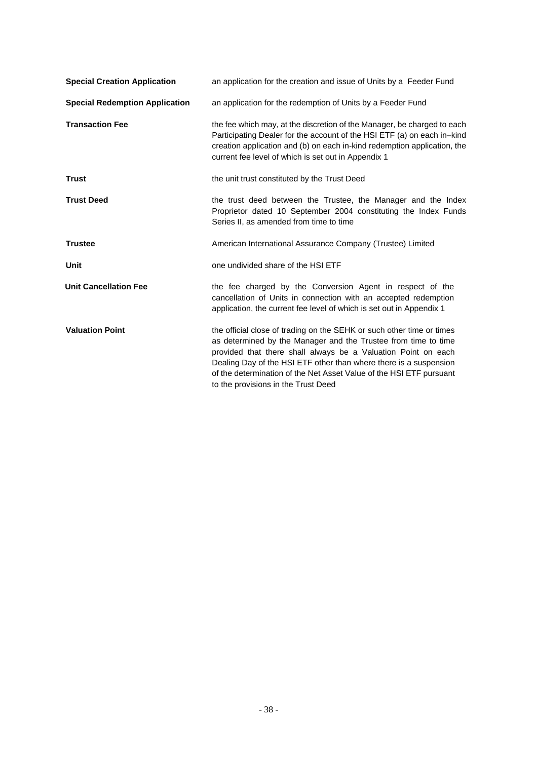| <b>Special Creation Application</b>   | an application for the creation and issue of Units by a Feeder Fund                                                                                                                                                                                                                                                                                                                         |  |
|---------------------------------------|---------------------------------------------------------------------------------------------------------------------------------------------------------------------------------------------------------------------------------------------------------------------------------------------------------------------------------------------------------------------------------------------|--|
| <b>Special Redemption Application</b> | an application for the redemption of Units by a Feeder Fund                                                                                                                                                                                                                                                                                                                                 |  |
| <b>Transaction Fee</b>                | the fee which may, at the discretion of the Manager, be charged to each<br>Participating Dealer for the account of the HSI ETF (a) on each in-kind<br>creation application and (b) on each in-kind redemption application, the<br>current fee level of which is set out in Appendix 1                                                                                                       |  |
| <b>Trust</b>                          | the unit trust constituted by the Trust Deed                                                                                                                                                                                                                                                                                                                                                |  |
| <b>Trust Deed</b>                     | the trust deed between the Trustee, the Manager and the Index<br>Proprietor dated 10 September 2004 constituting the Index Funds<br>Series II, as amended from time to time                                                                                                                                                                                                                 |  |
| <b>Trustee</b>                        | American International Assurance Company (Trustee) Limited                                                                                                                                                                                                                                                                                                                                  |  |
| Unit                                  | one undivided share of the HSI ETF                                                                                                                                                                                                                                                                                                                                                          |  |
| <b>Unit Cancellation Fee</b>          | the fee charged by the Conversion Agent in respect of the<br>cancellation of Units in connection with an accepted redemption<br>application, the current fee level of which is set out in Appendix 1                                                                                                                                                                                        |  |
| <b>Valuation Point</b>                | the official close of trading on the SEHK or such other time or times<br>as determined by the Manager and the Trustee from time to time<br>provided that there shall always be a Valuation Point on each<br>Dealing Day of the HSI ETF other than where there is a suspension<br>of the determination of the Net Asset Value of the HSI ETF pursuant<br>to the provisions in the Trust Deed |  |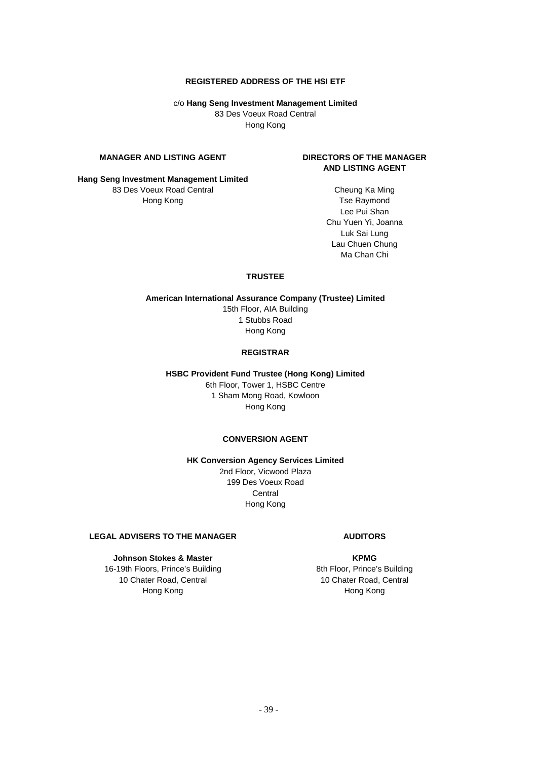#### **REGISTERED ADDRESS OF THE HSI ETF**

c/o **Hang Seng Investment Management Limited** 83 Des Voeux Road Central Hong Kong

# **MANAGER AND LISTING AGENT**

# **DIRECTORS OF THE MANAGER AND LISTING AGENT**

**Hang Seng Investment Management Limited** 83 Des Voeux Road Central Hong Kong

Cheung Ka Ming Tse Raymond Lee Pui Shan Chu Yuen Yi, Joanna Luk Sai Lung Lau Chuen Chung Ma Chan Chi

## **TRUSTEE**

**American International Assurance Company (Trustee) Limited**  15th Floor, AIA Building 1 Stubbs Road Hong Kong

#### **REGISTRAR**

**HSBC Provident Fund Trustee (Hong Kong) Limited** 

6th Floor, Tower 1, HSBC Centre 1 Sham Mong Road, Kowloon Hong Kong

# **CONVERSION AGENT**

**HK Conversion Agency Services Limited** 

2nd Floor, Vicwood Plaza 199 Des Voeux Road **Central** Hong Kong

# **LEGAL ADVISERS TO THE MANAGER**

# **Johnson Stokes & Master**

16-19th Floors, Prince's Building 10 Chater Road, Central Hong Kong

# **AUDITORS**

**KPMG**  8th Floor, Prince's Building 10 Chater Road, Central Hong Kong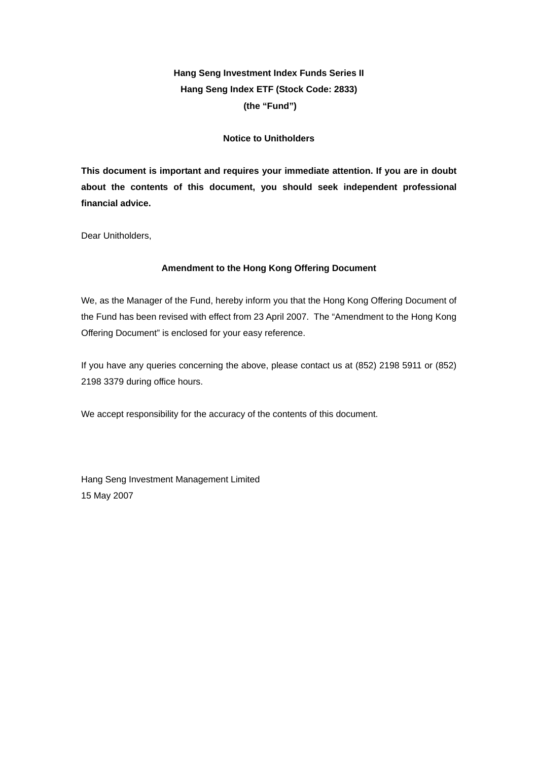# **Hang Seng Investment Index Funds Series II Hang Seng Index ETF (Stock Code: 2833) (the "Fund")**

# **Notice to Unitholders**

**This document is important and requires your immediate attention. If you are in doubt about the contents of this document, you should seek independent professional financial advice.** 

Dear Unitholders,

# **Amendment to the Hong Kong Offering Document**

We, as the Manager of the Fund, hereby inform you that the Hong Kong Offering Document of the Fund has been revised with effect from 23 April 2007. The "Amendment to the Hong Kong Offering Document" is enclosed for your easy reference.

If you have any queries concerning the above, please contact us at (852) 2198 5911 or (852) 2198 3379 during office hours.

We accept responsibility for the accuracy of the contents of this document.

Hang Seng Investment Management Limited 15 May 2007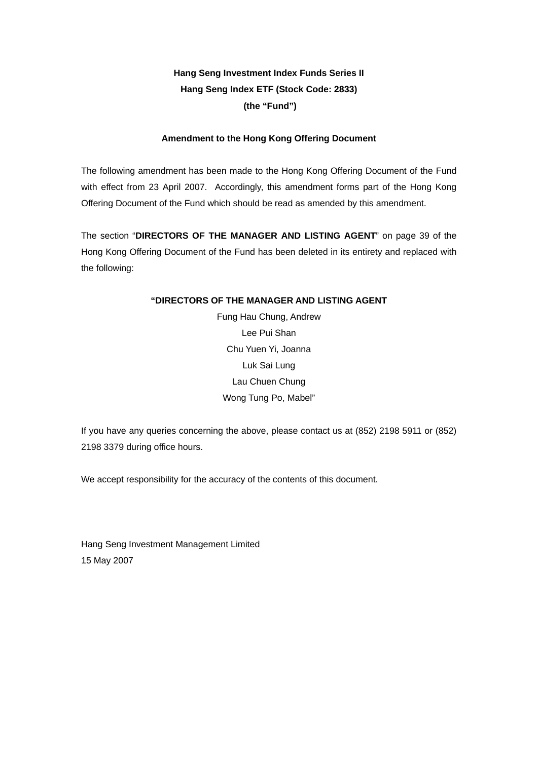# **Hang Seng Investment Index Funds Series II Hang Seng Index ETF (Stock Code: 2833) (the "Fund")**

# **Amendment to the Hong Kong Offering Document**

The following amendment has been made to the Hong Kong Offering Document of the Fund with effect from 23 April 2007. Accordingly, this amendment forms part of the Hong Kong Offering Document of the Fund which should be read as amended by this amendment.

The section "**DIRECTORS OF THE MANAGER AND LISTING AGENT**" on page 39 of the Hong Kong Offering Document of the Fund has been deleted in its entirety and replaced with the following:

# **"DIRECTORS OF THE MANAGER AND LISTING AGENT**

Fung Hau Chung, Andrew Lee Pui Shan Chu Yuen Yi, Joanna Luk Sai Lung Lau Chuen Chung Wong Tung Po, Mabel"

If you have any queries concerning the above, please contact us at (852) 2198 5911 or (852) 2198 3379 during office hours.

We accept responsibility for the accuracy of the contents of this document.

Hang Seng Investment Management Limited 15 May 2007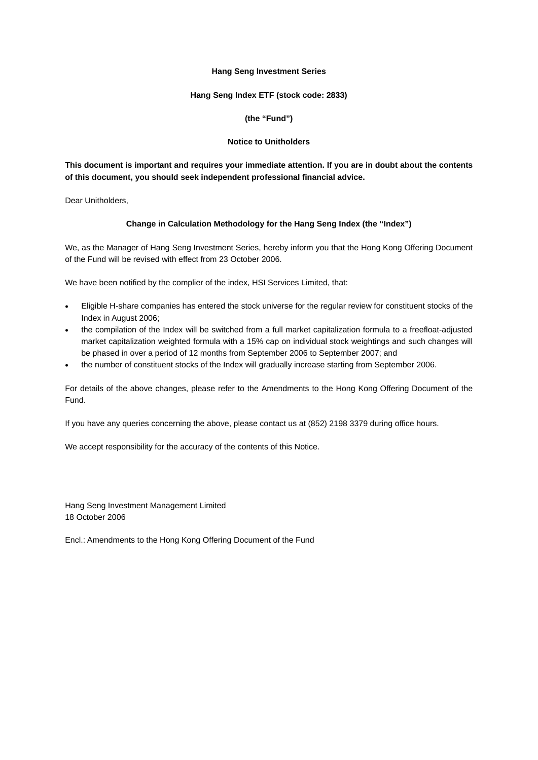#### **Hang Seng Investment Series**

#### **Hang Seng Index ETF (stock code: 2833)**

### **(the "Fund")**

#### **Notice to Unitholders**

# **This document is important and requires your immediate attention. If you are in doubt about the contents of this document, you should seek independent professional financial advice.**

Dear Unitholders,

### **Change in Calculation Methodology for the Hang Seng Index (the "Index")**

We, as the Manager of Hang Seng Investment Series, hereby inform you that the Hong Kong Offering Document of the Fund will be revised with effect from 23 October 2006.

We have been notified by the complier of the index, HSI Services Limited, that:

- Eligible H-share companies has entered the stock universe for the regular review for constituent stocks of the Index in August 2006;
- the compilation of the Index will be switched from a full market capitalization formula to a freefloat-adjusted market capitalization weighted formula with a 15% cap on individual stock weightings and such changes will be phased in over a period of 12 months from September 2006 to September 2007; and
- the number of constituent stocks of the Index will gradually increase starting from September 2006.

For details of the above changes, please refer to the Amendments to the Hong Kong Offering Document of the Fund.

If you have any queries concerning the above, please contact us at (852) 2198 3379 during office hours.

We accept responsibility for the accuracy of the contents of this Notice.

Hang Seng Investment Management Limited 18 October 2006

Encl.: Amendments to the Hong Kong Offering Document of the Fund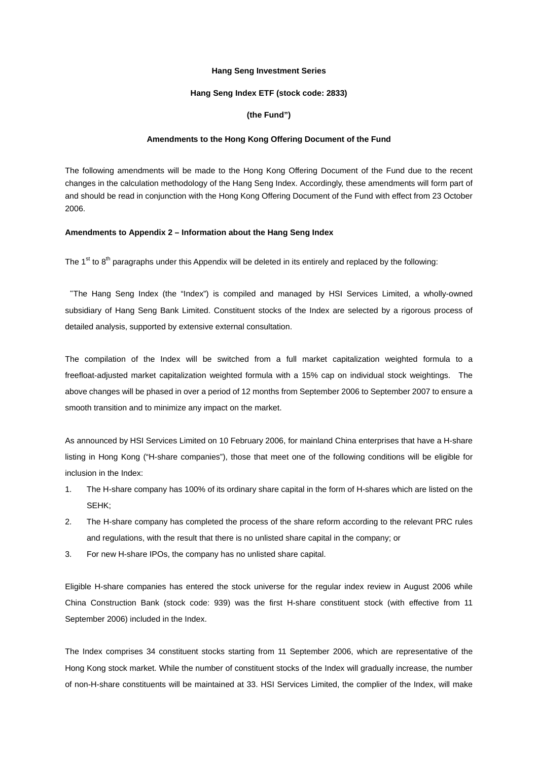#### **Hang Seng Investment Series**

#### **Hang Seng Index ETF (stock code: 2833)**

#### **(the Fund")**

#### **Amendments to the Hong Kong Offering Document of the Fund**

The following amendments will be made to the Hong Kong Offering Document of the Fund due to the recent changes in the calculation methodology of the Hang Seng Index. Accordingly, these amendments will form part of and should be read in conjunction with the Hong Kong Offering Document of the Fund with effect from 23 October 2006.

#### **Amendments to Appendix 2 – Information about the Hang Seng Index**

The  $1<sup>st</sup>$  to  $8<sup>th</sup>$  paragraphs under this Appendix will be deleted in its entirely and replaced by the following:

"The Hang Seng Index (the "Index") is compiled and managed by HSI Services Limited, a wholly-owned subsidiary of Hang Seng Bank Limited. Constituent stocks of the Index are selected by a rigorous process of detailed analysis, supported by extensive external consultation.

The compilation of the Index will be switched from a full market capitalization weighted formula to a freefloat-adjusted market capitalization weighted formula with a 15% cap on individual stock weightings. The above changes will be phased in over a period of 12 months from September 2006 to September 2007 to ensure a smooth transition and to minimize any impact on the market.

As announced by HSI Services Limited on 10 February 2006, for mainland China enterprises that have a H-share listing in Hong Kong ("H-share companies"), those that meet one of the following conditions will be eligible for inclusion in the Index:

- 1. The H-share company has 100% of its ordinary share capital in the form of H-shares which are listed on the SEHK;
- 2. The H-share company has completed the process of the share reform according to the relevant PRC rules and regulations, with the result that there is no unlisted share capital in the company; or
- 3. For new H-share IPOs, the company has no unlisted share capital.

Eligible H-share companies has entered the stock universe for the regular index review in August 2006 while China Construction Bank (stock code: 939) was the first H-share constituent stock (with effective from 11 September 2006) included in the Index.

The Index comprises 34 constituent stocks starting from 11 September 2006, which are representative of the Hong Kong stock market. While the number of constituent stocks of the Index will gradually increase, the number of non-H-share constituents will be maintained at 33. HSI Services Limited, the complier of the Index, will make